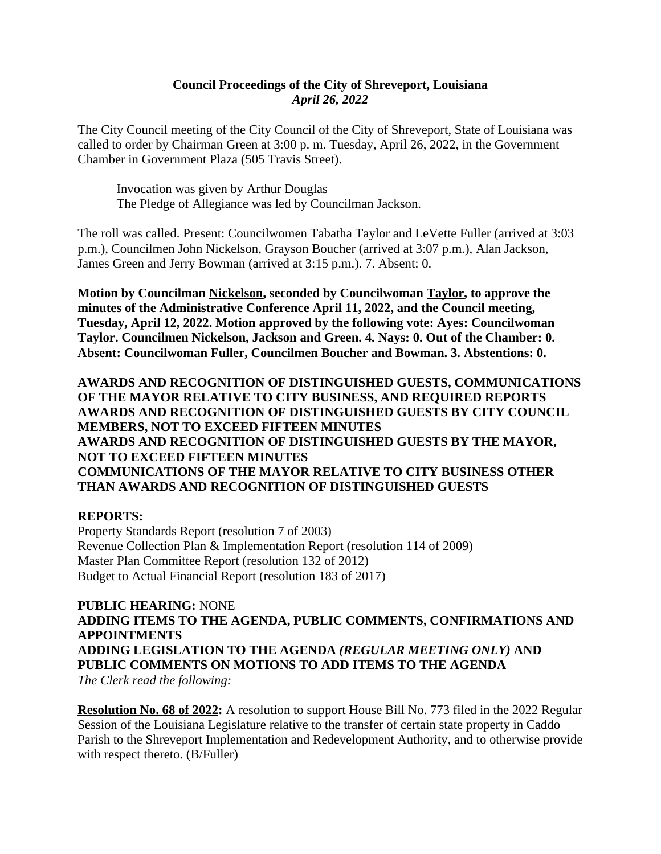### **Council Proceedings of the City of Shreveport, Louisiana** *April 26, 2022*

The City Council meeting of the City Council of the City of Shreveport, State of Louisiana was called to order by Chairman Green at 3:00 p. m. Tuesday, April 26, 2022, in the Government Chamber in Government Plaza (505 Travis Street).

Invocation was given by Arthur Douglas The Pledge of Allegiance was led by Councilman Jackson.

The roll was called. Present: Councilwomen Tabatha Taylor and LeVette Fuller (arrived at 3:03 p.m.), Councilmen John Nickelson, Grayson Boucher (arrived at 3:07 p.m.), Alan Jackson, James Green and Jerry Bowman (arrived at 3:15 p.m.). 7. Absent: 0.

**Motion by Councilman Nickelson, seconded by Councilwoman Taylor, to approve the minutes of the Administrative Conference April 11, 2022, and the Council meeting, Tuesday, April 12, 2022. Motion approved by the following vote: Ayes: Councilwoman Taylor. Councilmen Nickelson, Jackson and Green. 4. Nays: 0. Out of the Chamber: 0. Absent: Councilwoman Fuller, Councilmen Boucher and Bowman. 3. Abstentions: 0.**

**AWARDS AND RECOGNITION OF DISTINGUISHED GUESTS, COMMUNICATIONS OF THE MAYOR RELATIVE TO CITY BUSINESS, AND REQUIRED REPORTS AWARDS AND RECOGNITION OF DISTINGUISHED GUESTS BY CITY COUNCIL MEMBERS, NOT TO EXCEED FIFTEEN MINUTES AWARDS AND RECOGNITION OF DISTINGUISHED GUESTS BY THE MAYOR, NOT TO EXCEED FIFTEEN MINUTES COMMUNICATIONS OF THE MAYOR RELATIVE TO CITY BUSINESS OTHER THAN AWARDS AND RECOGNITION OF DISTINGUISHED GUESTS**

#### **REPORTS:**

Property Standards Report (resolution 7 of 2003) Revenue Collection Plan & Implementation Report (resolution 114 of 2009) Master Plan Committee Report (resolution 132 of 2012) Budget to Actual Financial Report (resolution 183 of 2017)

**PUBLIC HEARING:** NONE **ADDING ITEMS TO THE AGENDA, PUBLIC COMMENTS, CONFIRMATIONS AND APPOINTMENTS ADDING LEGISLATION TO THE AGENDA** *(REGULAR MEETING ONLY)* **AND PUBLIC COMMENTS ON MOTIONS TO ADD ITEMS TO THE AGENDA** *The Clerk read the following:*

**Resolution No. 68 of 2022:** A resolution to support House Bill No. 773 filed in the 2022 Regular Session of the Louisiana Legislature relative to the transfer of certain state property in Caddo Parish to the Shreveport Implementation and Redevelopment Authority, and to otherwise provide with respect thereto. (B/Fuller)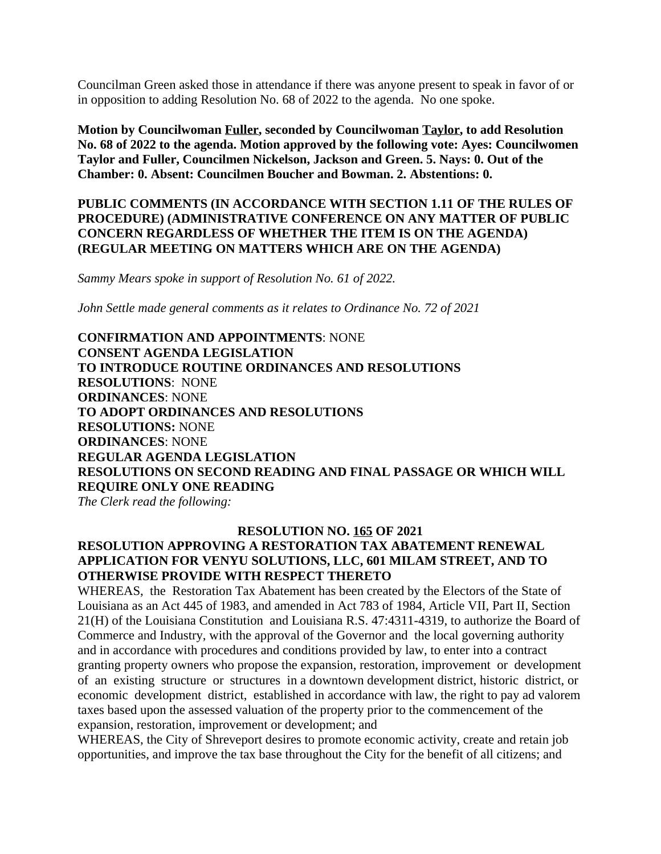Councilman Green asked those in attendance if there was anyone present to speak in favor of or in opposition to adding Resolution No. 68 of 2022 to the agenda. No one spoke.

**Motion by Councilwoman Fuller, seconded by Councilwoman Taylor, to add Resolution No. 68 of 2022 to the agenda. Motion approved by the following vote: Ayes: Councilwomen Taylor and Fuller, Councilmen Nickelson, Jackson and Green. 5. Nays: 0. Out of the Chamber: 0. Absent: Councilmen Boucher and Bowman. 2. Abstentions: 0.**

**PUBLIC COMMENTS (IN ACCORDANCE WITH SECTION 1.11 OF THE RULES OF PROCEDURE) (ADMINISTRATIVE CONFERENCE ON ANY MATTER OF PUBLIC CONCERN REGARDLESS OF WHETHER THE ITEM IS ON THE AGENDA) (REGULAR MEETING ON MATTERS WHICH ARE ON THE AGENDA)**

*Sammy Mears spoke in support of Resolution No. 61 of 2022.*

*John Settle made general comments as it relates to Ordinance No. 72 of 2021*

**CONFIRMATION AND APPOINTMENTS**: NONE **CONSENT AGENDA LEGISLATION TO INTRODUCE ROUTINE ORDINANCES AND RESOLUTIONS RESOLUTIONS**: NONE **ORDINANCES**: NONE **TO ADOPT ORDINANCES AND RESOLUTIONS RESOLUTIONS:** NONE **ORDINANCES**: NONE **REGULAR AGENDA LEGISLATION RESOLUTIONS ON SECOND READING AND FINAL PASSAGE OR WHICH WILL REQUIRE ONLY ONE READING**

*The Clerk read the following:* 

#### **RESOLUTION NO. 165 OF 2021**

### **RESOLUTION APPROVING A RESTORATION TAX ABATEMENT RENEWAL APPLICATION FOR VENYU SOLUTIONS, LLC, 601 MILAM STREET, AND TO OTHERWISE PROVIDE WITH RESPECT THERETO**

WHEREAS, the Restoration Tax Abatement has been created by the Electors of the State of Louisiana as an Act 445 of 1983, and amended in Act 783 of 1984, Article VII, Part II, Section 21(H) of the Louisiana Constitution and Louisiana R.S. 47:4311-4319, to authorize the Board of Commerce and Industry, with the approval of the Governor and the local governing authority and in accordance with procedures and conditions provided by law, to enter into a contract granting property owners who propose the expansion, restoration, improvement or development of an existing structure or structures in a downtown development district, historic district, or economic development district, established in accordance with law, the right to pay ad valorem taxes based upon the assessed valuation of the property prior to the commencement of the expansion, restoration, improvement or development; and

WHEREAS, the City of Shreveport desires to promote economic activity, create and retain job opportunities, and improve the tax base throughout the City for the benefit of all citizens; and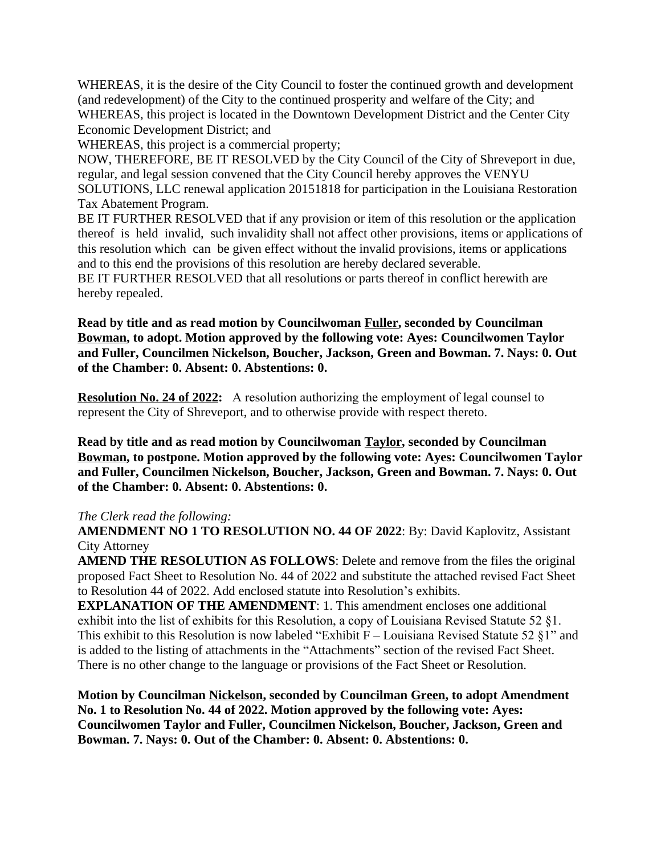WHEREAS, it is the desire of the City Council to foster the continued growth and development (and redevelopment) of the City to the continued prosperity and welfare of the City; and WHEREAS, this project is located in the Downtown Development District and the Center City Economic Development District; and

WHEREAS, this project is a commercial property;

NOW, THEREFORE, BE IT RESOLVED by the City Council of the City of Shreveport in due, regular, and legal session convened that the City Council hereby approves the VENYU SOLUTIONS, LLC renewal application 20151818 for participation in the Louisiana Restoration Tax Abatement Program.

BE IT FURTHER RESOLVED that if any provision or item of this resolution or the application thereof is held invalid, such invalidity shall not affect other provisions, items or applications of this resolution which can be given effect without the invalid provisions, items or applications and to this end the provisions of this resolution are hereby declared severable.

BE IT FURTHER RESOLVED that all resolutions or parts thereof in conflict herewith are hereby repealed.

**Read by title and as read motion by Councilwoman Fuller, seconded by Councilman Bowman, to adopt. Motion approved by the following vote: Ayes: Councilwomen Taylor and Fuller, Councilmen Nickelson, Boucher, Jackson, Green and Bowman. 7. Nays: 0. Out of the Chamber: 0. Absent: 0. Abstentions: 0.**

**Resolution No. 24 of 2022:** A resolution authorizing the employment of legal counsel to represent the City of Shreveport, and to otherwise provide with respect thereto.

**Read by title and as read motion by Councilwoman Taylor, seconded by Councilman Bowman, to postpone. Motion approved by the following vote: Ayes: Councilwomen Taylor and Fuller, Councilmen Nickelson, Boucher, Jackson, Green and Bowman. 7. Nays: 0. Out of the Chamber: 0. Absent: 0. Abstentions: 0.**

#### *The Clerk read the following:*

**AMENDMENT NO 1 TO RESOLUTION NO. 44 OF 2022**: By: David Kaplovitz, Assistant City Attorney

**AMEND THE RESOLUTION AS FOLLOWS**: Delete and remove from the files the original proposed Fact Sheet to Resolution No. 44 of 2022 and substitute the attached revised Fact Sheet to Resolution 44 of 2022. Add enclosed statute into Resolution's exhibits.

**EXPLANATION OF THE AMENDMENT**: 1. This amendment encloses one additional exhibit into the list of exhibits for this Resolution, a copy of Louisiana Revised Statute 52 §1. This exhibit to this Resolution is now labeled "Exhibit  $F -$  Louisiana Revised Statute 52 §1" and is added to the listing of attachments in the "Attachments" section of the revised Fact Sheet. There is no other change to the language or provisions of the Fact Sheet or Resolution.

**Motion by Councilman Nickelson, seconded by Councilman Green, to adopt Amendment No. 1 to Resolution No. 44 of 2022. Motion approved by the following vote: Ayes: Councilwomen Taylor and Fuller, Councilmen Nickelson, Boucher, Jackson, Green and Bowman. 7. Nays: 0. Out of the Chamber: 0. Absent: 0. Abstentions: 0.**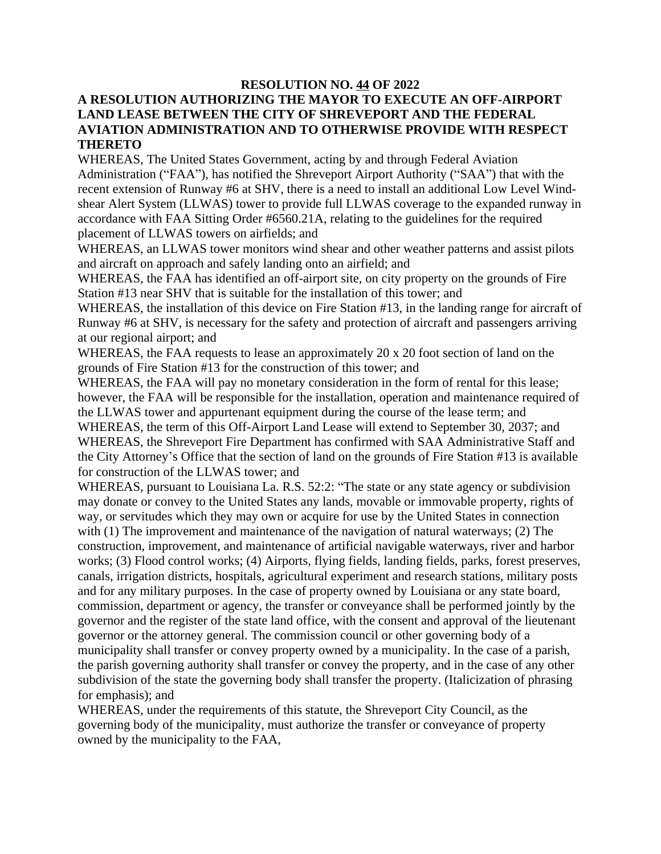### **RESOLUTION NO. 44 OF 2022 A RESOLUTION AUTHORIZING THE MAYOR TO EXECUTE AN OFF-AIRPORT LAND LEASE BETWEEN THE CITY OF SHREVEPORT AND THE FEDERAL AVIATION ADMINISTRATION AND TO OTHERWISE PROVIDE WITH RESPECT THERETO**

WHEREAS, The United States Government, acting by and through Federal Aviation Administration ("FAA"), has notified the Shreveport Airport Authority ("SAA") that with the recent extension of Runway #6 at SHV, there is a need to install an additional Low Level Windshear Alert System (LLWAS) tower to provide full LLWAS coverage to the expanded runway in accordance with FAA Sitting Order #6560.21A, relating to the guidelines for the required placement of LLWAS towers on airfields; and

WHEREAS, an LLWAS tower monitors wind shear and other weather patterns and assist pilots and aircraft on approach and safely landing onto an airfield; and

WHEREAS, the FAA has identified an off-airport site, on city property on the grounds of Fire Station #13 near SHV that is suitable for the installation of this tower; and

WHEREAS, the installation of this device on Fire Station #13, in the landing range for aircraft of Runway #6 at SHV, is necessary for the safety and protection of aircraft and passengers arriving at our regional airport; and

WHEREAS, the FAA requests to lease an approximately 20 x 20 foot section of land on the grounds of Fire Station #13 for the construction of this tower; and

WHEREAS, the FAA will pay no monetary consideration in the form of rental for this lease; however, the FAA will be responsible for the installation, operation and maintenance required of the LLWAS tower and appurtenant equipment during the course of the lease term; and WHEREAS, the term of this Off-Airport Land Lease will extend to September 30, 2037; and WHEREAS, the Shreveport Fire Department has confirmed with SAA Administrative Staff and the City Attorney's Office that the section of land on the grounds of Fire Station #13 is available for construction of the LLWAS tower; and

WHEREAS, pursuant to Louisiana La. R.S. 52:2: "The state or any state agency or subdivision may donate or convey to the United States any lands, movable or immovable property, rights of way, or servitudes which they may own or acquire for use by the United States in connection with (1) The improvement and maintenance of the navigation of natural waterways; (2) The construction, improvement, and maintenance of artificial navigable waterways, river and harbor works; (3) Flood control works; (4) Airports, flying fields, landing fields, parks, forest preserves, canals, irrigation districts, hospitals, agricultural experiment and research stations, military posts and for any military purposes. In the case of property owned by Louisiana or any state board, commission, department or agency, the transfer or conveyance shall be performed jointly by the governor and the register of the state land office, with the consent and approval of the lieutenant governor or the attorney general. The commission council or other governing body of a municipality shall transfer or convey property owned by a municipality. In the case of a parish, the parish governing authority shall transfer or convey the property, and in the case of any other subdivision of the state the governing body shall transfer the property. (Italicization of phrasing for emphasis); and

WHEREAS, under the requirements of this statute, the Shreveport City Council, as the governing body of the municipality, must authorize the transfer or conveyance of property owned by the municipality to the FAA,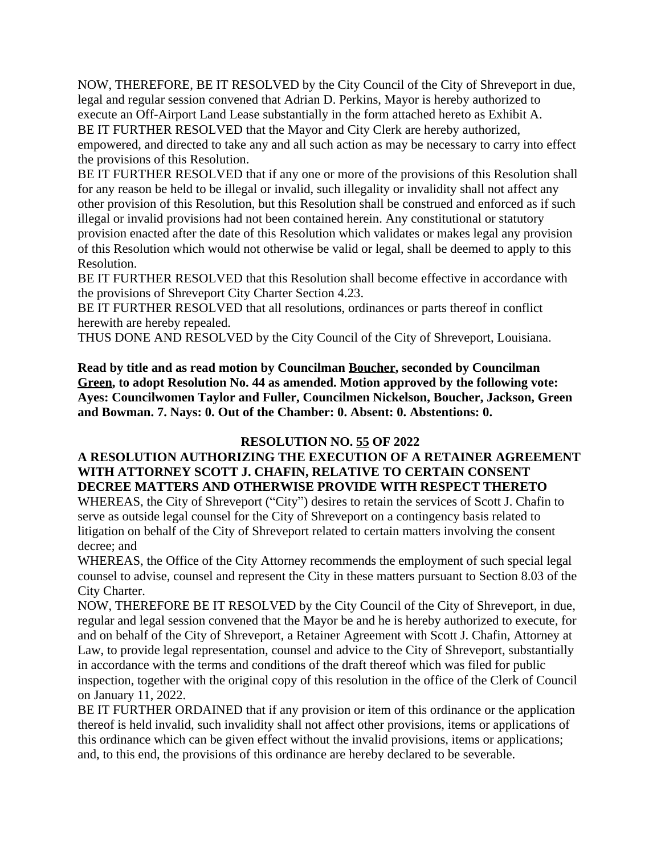NOW, THEREFORE, BE IT RESOLVED by the City Council of the City of Shreveport in due, legal and regular session convened that Adrian D. Perkins, Mayor is hereby authorized to execute an Off-Airport Land Lease substantially in the form attached hereto as Exhibit A. BE IT FURTHER RESOLVED that the Mayor and City Clerk are hereby authorized,

empowered, and directed to take any and all such action as may be necessary to carry into effect the provisions of this Resolution.

BE IT FURTHER RESOLVED that if any one or more of the provisions of this Resolution shall for any reason be held to be illegal or invalid, such illegality or invalidity shall not affect any other provision of this Resolution, but this Resolution shall be construed and enforced as if such illegal or invalid provisions had not been contained herein. Any constitutional or statutory provision enacted after the date of this Resolution which validates or makes legal any provision of this Resolution which would not otherwise be valid or legal, shall be deemed to apply to this Resolution.

BE IT FURTHER RESOLVED that this Resolution shall become effective in accordance with the provisions of Shreveport City Charter Section 4.23.

BE IT FURTHER RESOLVED that all resolutions, ordinances or parts thereof in conflict herewith are hereby repealed.

THUS DONE AND RESOLVED by the City Council of the City of Shreveport, Louisiana.

**Read by title and as read motion by Councilman Boucher, seconded by Councilman Green, to adopt Resolution No. 44 as amended. Motion approved by the following vote: Ayes: Councilwomen Taylor and Fuller, Councilmen Nickelson, Boucher, Jackson, Green and Bowman. 7. Nays: 0. Out of the Chamber: 0. Absent: 0. Abstentions: 0.**

### **RESOLUTION NO. 55 OF 2022**

### **A RESOLUTION AUTHORIZING THE EXECUTION OF A RETAINER AGREEMENT WITH ATTORNEY SCOTT J. CHAFIN, RELATIVE TO CERTAIN CONSENT DECREE MATTERS AND OTHERWISE PROVIDE WITH RESPECT THERETO**

WHEREAS, the City of Shreveport ("City") desires to retain the services of Scott J. Chafin to serve as outside legal counsel for the City of Shreveport on a contingency basis related to litigation on behalf of the City of Shreveport related to certain matters involving the consent decree; and

WHEREAS, the Office of the City Attorney recommends the employment of such special legal counsel to advise, counsel and represent the City in these matters pursuant to Section 8.03 of the City Charter.

NOW, THEREFORE BE IT RESOLVED by the City Council of the City of Shreveport, in due, regular and legal session convened that the Mayor be and he is hereby authorized to execute, for and on behalf of the City of Shreveport, a Retainer Agreement with Scott J. Chafin, Attorney at Law, to provide legal representation, counsel and advice to the City of Shreveport, substantially in accordance with the terms and conditions of the draft thereof which was filed for public inspection, together with the original copy of this resolution in the office of the Clerk of Council on January 11, 2022.

BE IT FURTHER ORDAINED that if any provision or item of this ordinance or the application thereof is held invalid, such invalidity shall not affect other provisions, items or applications of this ordinance which can be given effect without the invalid provisions, items or applications; and, to this end, the provisions of this ordinance are hereby declared to be severable.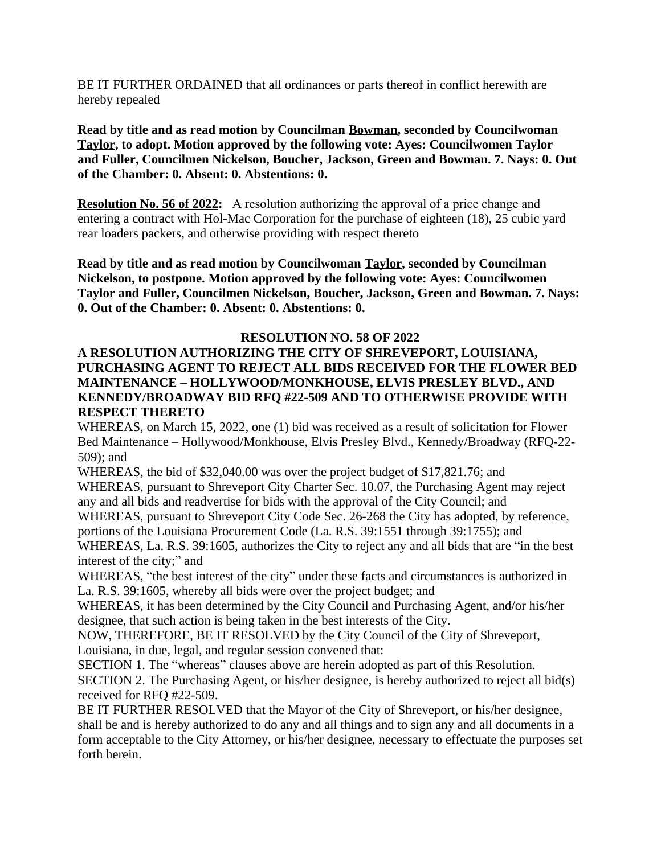BE IT FURTHER ORDAINED that all ordinances or parts thereof in conflict herewith are hereby repealed

**Read by title and as read motion by Councilman Bowman, seconded by Councilwoman Taylor, to adopt. Motion approved by the following vote: Ayes: Councilwomen Taylor and Fuller, Councilmen Nickelson, Boucher, Jackson, Green and Bowman. 7. Nays: 0. Out of the Chamber: 0. Absent: 0. Abstentions: 0.**

**Resolution No. 56 of 2022:** A resolution authorizing the approval of a price change and entering a contract with Hol-Mac Corporation for the purchase of eighteen (18), 25 cubic yard rear loaders packers, and otherwise providing with respect thereto

**Read by title and as read motion by Councilwoman Taylor, seconded by Councilman Nickelson, to postpone. Motion approved by the following vote: Ayes: Councilwomen Taylor and Fuller, Councilmen Nickelson, Boucher, Jackson, Green and Bowman. 7. Nays: 0. Out of the Chamber: 0. Absent: 0. Abstentions: 0.**

### **RESOLUTION NO. 58 OF 2022**

### **A RESOLUTION AUTHORIZING THE CITY OF SHREVEPORT, LOUISIANA, PURCHASING AGENT TO REJECT ALL BIDS RECEIVED FOR THE FLOWER BED MAINTENANCE – HOLLYWOOD/MONKHOUSE, ELVIS PRESLEY BLVD., AND KENNEDY/BROADWAY BID RFQ #22-509 AND TO OTHERWISE PROVIDE WITH RESPECT THERETO**

WHEREAS, on March 15, 2022, one (1) bid was received as a result of solicitation for Flower Bed Maintenance – Hollywood/Monkhouse, Elvis Presley Blvd., Kennedy/Broadway (RFQ-22- 509); and

WHEREAS, the bid of \$32,040.00 was over the project budget of \$17,821.76; and

WHEREAS, pursuant to Shreveport City Charter Sec. 10.07, the Purchasing Agent may reject any and all bids and readvertise for bids with the approval of the City Council; and

WHEREAS, pursuant to Shreveport City Code Sec. 26-268 the City has adopted, by reference, portions of the Louisiana Procurement Code (La. R.S. 39:1551 through 39:1755); and

WHEREAS, La. R.S. 39:1605, authorizes the City to reject any and all bids that are "in the best interest of the city;" and

WHEREAS, "the best interest of the city" under these facts and circumstances is authorized in La. R.S. 39:1605, whereby all bids were over the project budget; and

WHEREAS, it has been determined by the City Council and Purchasing Agent, and/or his/her designee, that such action is being taken in the best interests of the City.

NOW, THEREFORE, BE IT RESOLVED by the City Council of the City of Shreveport, Louisiana, in due, legal, and regular session convened that:

SECTION 1. The "whereas" clauses above are herein adopted as part of this Resolution. SECTION 2. The Purchasing Agent, or his/her designee, is hereby authorized to reject all bid(s) received for RFQ #22-509.

BE IT FURTHER RESOLVED that the Mayor of the City of Shreveport, or his/her designee, shall be and is hereby authorized to do any and all things and to sign any and all documents in a form acceptable to the City Attorney, or his/her designee, necessary to effectuate the purposes set forth herein.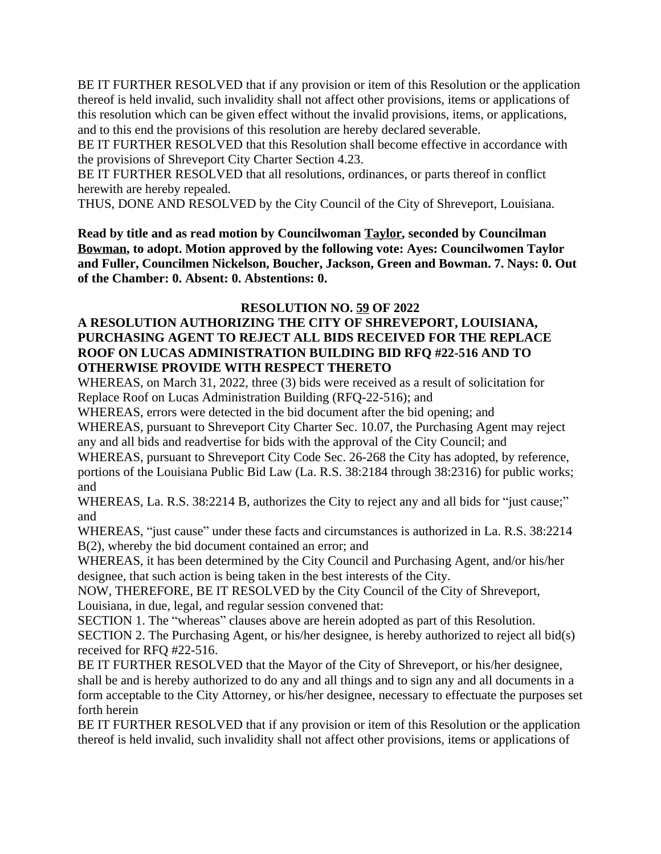BE IT FURTHER RESOLVED that if any provision or item of this Resolution or the application thereof is held invalid, such invalidity shall not affect other provisions, items or applications of this resolution which can be given effect without the invalid provisions, items, or applications, and to this end the provisions of this resolution are hereby declared severable.

BE IT FURTHER RESOLVED that this Resolution shall become effective in accordance with the provisions of Shreveport City Charter Section 4.23.

BE IT FURTHER RESOLVED that all resolutions, ordinances, or parts thereof in conflict herewith are hereby repealed.

THUS, DONE AND RESOLVED by the City Council of the City of Shreveport, Louisiana.

**Read by title and as read motion by Councilwoman Taylor, seconded by Councilman Bowman, to adopt. Motion approved by the following vote: Ayes: Councilwomen Taylor and Fuller, Councilmen Nickelson, Boucher, Jackson, Green and Bowman. 7. Nays: 0. Out of the Chamber: 0. Absent: 0. Abstentions: 0.**

### **RESOLUTION NO. 59 OF 2022**

### **A RESOLUTION AUTHORIZING THE CITY OF SHREVEPORT, LOUISIANA, PURCHASING AGENT TO REJECT ALL BIDS RECEIVED FOR THE REPLACE ROOF ON LUCAS ADMINISTRATION BUILDING BID RFQ #22-516 AND TO OTHERWISE PROVIDE WITH RESPECT THERETO**

WHEREAS, on March 31, 2022, three (3) bids were received as a result of solicitation for Replace Roof on Lucas Administration Building (RFQ-22-516); and

WHEREAS, errors were detected in the bid document after the bid opening; and

WHEREAS, pursuant to Shreveport City Charter Sec. 10.07, the Purchasing Agent may reject any and all bids and readvertise for bids with the approval of the City Council; and

WHEREAS, pursuant to Shreveport City Code Sec. 26-268 the City has adopted, by reference, portions of the Louisiana Public Bid Law (La. R.S. 38:2184 through 38:2316) for public works; and

WHEREAS, La. R.S. 38:2214 B, authorizes the City to reject any and all bids for "just cause;" and

WHEREAS, "just cause" under these facts and circumstances is authorized in La. R.S. 38:2214 B(2), whereby the bid document contained an error; and

WHEREAS, it has been determined by the City Council and Purchasing Agent, and/or his/her designee, that such action is being taken in the best interests of the City.

NOW, THEREFORE, BE IT RESOLVED by the City Council of the City of Shreveport, Louisiana, in due, legal, and regular session convened that:

SECTION 1. The "whereas" clauses above are herein adopted as part of this Resolution. SECTION 2. The Purchasing Agent, or his/her designee, is hereby authorized to reject all bid(s) received for RFQ #22-516.

BE IT FURTHER RESOLVED that the Mayor of the City of Shreveport, or his/her designee, shall be and is hereby authorized to do any and all things and to sign any and all documents in a form acceptable to the City Attorney, or his/her designee, necessary to effectuate the purposes set forth herein

BE IT FURTHER RESOLVED that if any provision or item of this Resolution or the application thereof is held invalid, such invalidity shall not affect other provisions, items or applications of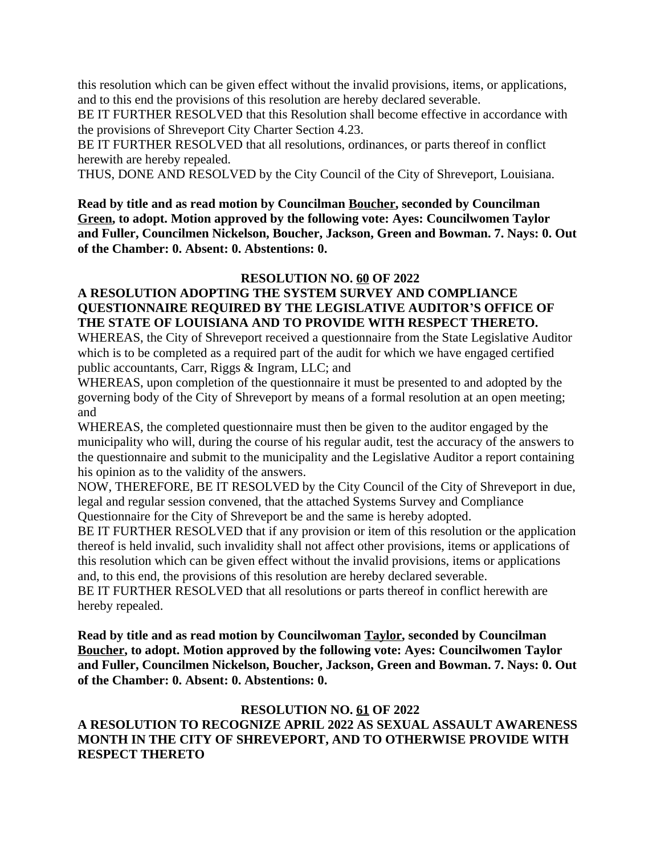this resolution which can be given effect without the invalid provisions, items, or applications, and to this end the provisions of this resolution are hereby declared severable.

BE IT FURTHER RESOLVED that this Resolution shall become effective in accordance with the provisions of Shreveport City Charter Section 4.23.

BE IT FURTHER RESOLVED that all resolutions, ordinances, or parts thereof in conflict herewith are hereby repealed.

THUS, DONE AND RESOLVED by the City Council of the City of Shreveport, Louisiana.

**Read by title and as read motion by Councilman Boucher, seconded by Councilman Green, to adopt. Motion approved by the following vote: Ayes: Councilwomen Taylor and Fuller, Councilmen Nickelson, Boucher, Jackson, Green and Bowman. 7. Nays: 0. Out of the Chamber: 0. Absent: 0. Abstentions: 0.**

### **RESOLUTION NO. 60 OF 2022**

### **A RESOLUTION ADOPTING THE SYSTEM SURVEY AND COMPLIANCE QUESTIONNAIRE REQUIRED BY THE LEGISLATIVE AUDITOR'S OFFICE OF THE STATE OF LOUISIANA AND TO PROVIDE WITH RESPECT THERETO.**

WHEREAS, the City of Shreveport received a questionnaire from the State Legislative Auditor which is to be completed as a required part of the audit for which we have engaged certified public accountants, Carr, Riggs & Ingram, LLC; and

WHEREAS, upon completion of the questionnaire it must be presented to and adopted by the governing body of the City of Shreveport by means of a formal resolution at an open meeting; and

WHEREAS, the completed questionnaire must then be given to the auditor engaged by the municipality who will, during the course of his regular audit, test the accuracy of the answers to the questionnaire and submit to the municipality and the Legislative Auditor a report containing his opinion as to the validity of the answers.

NOW, THEREFORE, BE IT RESOLVED by the City Council of the City of Shreveport in due, legal and regular session convened, that the attached Systems Survey and Compliance Questionnaire for the City of Shreveport be and the same is hereby adopted.

BE IT FURTHER RESOLVED that if any provision or item of this resolution or the application thereof is held invalid, such invalidity shall not affect other provisions, items or applications of this resolution which can be given effect without the invalid provisions, items or applications and, to this end, the provisions of this resolution are hereby declared severable.

BE IT FURTHER RESOLVED that all resolutions or parts thereof in conflict herewith are hereby repealed.

**Read by title and as read motion by Councilwoman Taylor, seconded by Councilman Boucher, to adopt. Motion approved by the following vote: Ayes: Councilwomen Taylor and Fuller, Councilmen Nickelson, Boucher, Jackson, Green and Bowman. 7. Nays: 0. Out of the Chamber: 0. Absent: 0. Abstentions: 0.**

### **RESOLUTION NO. 61 OF 2022**

### **A RESOLUTION TO RECOGNIZE APRIL 2022 AS SEXUAL ASSAULT AWARENESS MONTH IN THE CITY OF SHREVEPORT, AND TO OTHERWISE PROVIDE WITH RESPECT THERETO**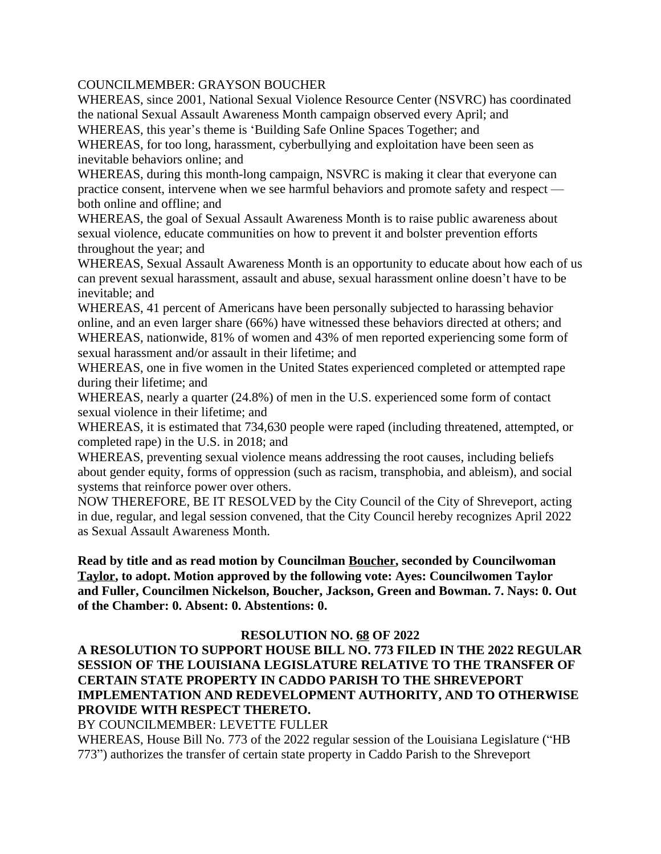### COUNCILMEMBER: GRAYSON BOUCHER

WHEREAS, since 2001, National Sexual Violence Resource Center (NSVRC) has coordinated the national Sexual Assault Awareness Month campaign observed every April; and WHEREAS, this year's theme is 'Building Safe Online Spaces Together; and

WHEREAS, for too long, harassment, cyberbullying and exploitation have been seen as inevitable behaviors online; and

WHEREAS, during this month-long campaign, NSVRC is making it clear that everyone can practice consent, intervene when we see harmful behaviors and promote safety and respect both online and offline; and

WHEREAS, the goal of Sexual Assault Awareness Month is to raise public awareness about sexual violence, educate communities on how to prevent it and bolster prevention efforts throughout the year; and

WHEREAS, Sexual Assault Awareness Month is an opportunity to educate about how each of us can prevent sexual harassment, assault and abuse, sexual harassment online doesn't have to be inevitable; and

WHEREAS, 41 percent of Americans have been personally subjected to harassing behavior online, and an even larger share (66%) have witnessed these behaviors directed at others; and WHEREAS, nationwide, 81% of women and 43% of men reported experiencing some form of sexual harassment and/or assault in their lifetime; and

WHEREAS, one in five women in the United States experienced completed or attempted rape during their lifetime; and

WHEREAS, nearly a quarter (24.8%) of men in the U.S. experienced some form of contact sexual violence in their lifetime; and

WHEREAS, it is estimated that 734,630 people were raped (including threatened, attempted, or completed rape) in the U.S. in 2018; and

WHEREAS, preventing sexual violence means addressing the root causes, including beliefs about gender equity, forms of oppression (such as racism, transphobia, and ableism), and social systems that reinforce power over others.

NOW THEREFORE, BE IT RESOLVED by the City Council of the City of Shreveport, acting in due, regular, and legal session convened, that the City Council hereby recognizes April 2022 as Sexual Assault Awareness Month.

**Read by title and as read motion by Councilman Boucher, seconded by Councilwoman Taylor, to adopt. Motion approved by the following vote: Ayes: Councilwomen Taylor and Fuller, Councilmen Nickelson, Boucher, Jackson, Green and Bowman. 7. Nays: 0. Out of the Chamber: 0. Absent: 0. Abstentions: 0.**

### **RESOLUTION NO. 68 OF 2022**

**A RESOLUTION TO SUPPORT HOUSE BILL NO. 773 FILED IN THE 2022 REGULAR SESSION OF THE LOUISIANA LEGISLATURE RELATIVE TO THE TRANSFER OF CERTAIN STATE PROPERTY IN CADDO PARISH TO THE SHREVEPORT IMPLEMENTATION AND REDEVELOPMENT AUTHORITY, AND TO OTHERWISE PROVIDE WITH RESPECT THERETO.**

BY COUNCILMEMBER: LEVETTE FULLER

WHEREAS, House Bill No. 773 of the 2022 regular session of the Louisiana Legislature ("HB 773") authorizes the transfer of certain state property in Caddo Parish to the Shreveport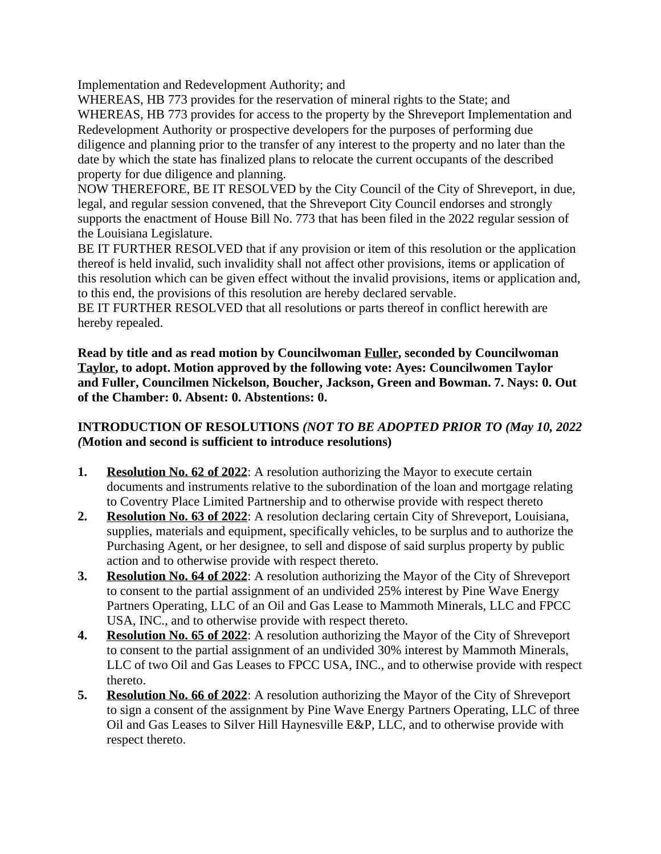Implementation and Redevelopment Authority; and

WHEREAS, HB 773 provides for the reservation of mineral rights to the State; and WHEREAS, HB 773 provides for access to the property by the Shreveport Implementation and Redevelopment Authority or prospective developers for the purposes of performing due diligence and planning prior to the transfer of any interest to the property and no later than the date by which the state has finalized plans to relocate the current occupants of the described property for due diligence and planning.

NOW THEREFORE, BE IT RESOLVED by the City Council of the City of Shreveport, in due, legal, and regular session convened, that the Shreveport City Council endorses and strongly supports the enactment of House Bill No. 773 that has been filed in the 2022 regular session of the Louisiana Legislature.

BE IT FURTHER RESOLVED that if any provision or item of this resolution or the application thereof is held invalid, such invalidity shall not affect other provisions, items or application of this resolution which can be given effect without the invalid provisions, items or application and, to this end, the provisions of this resolution are hereby declared servable.

BE IT FURTHER RESOLVED that all resolutions or parts thereof in conflict herewith are hereby repealed.

**Read by title and as read motion by Councilwoman Fuller, seconded by Councilwoman Taylor, to adopt. Motion approved by the following vote: Ayes: Councilwomen Taylor and Fuller, Councilmen Nickelson, Boucher, Jackson, Green and Bowman. 7. Nays: 0. Out of the Chamber: 0. Absent: 0. Abstentions: 0.**

### **INTRODUCTION OF RESOLUTIONS** *(NOT TO BE ADOPTED PRIOR TO (May 10, 2022 (***Motion and second is sufficient to introduce resolutions)**

- **1. Resolution No. 62 of 2022**: A resolution authorizing the Mayor to execute certain documents and instruments relative to the subordination of the loan and mortgage relating to Coventry Place Limited Partnership and to otherwise provide with respect thereto
- **2. Resolution No. 63 of 2022**: A resolution declaring certain City of Shreveport, Louisiana, supplies, materials and equipment, specifically vehicles, to be surplus and to authorize the Purchasing Agent, or her designee, to sell and dispose of said surplus property by public action and to otherwise provide with respect thereto.
- **3. Resolution No. 64 of 2022**: A resolution authorizing the Mayor of the City of Shreveport to consent to the partial assignment of an undivided 25% interest by Pine Wave Energy Partners Operating, LLC of an Oil and Gas Lease to Mammoth Minerals, LLC and FPCC USA, INC., and to otherwise provide with respect thereto.
- **4. Resolution No. 65 of 2022**: A resolution authorizing the Mayor of the City of Shreveport to consent to the partial assignment of an undivided 30% interest by Mammoth Minerals, LLC of two Oil and Gas Leases to FPCC USA, INC., and to otherwise provide with respect thereto.
- **5. Resolution No. 66 of 2022**: A resolution authorizing the Mayor of the City of Shreveport to sign a consent of the assignment by Pine Wave Energy Partners Operating, LLC of three Oil and Gas Leases to Silver Hill Haynesville E&P, LLC, and to otherwise provide with respect thereto.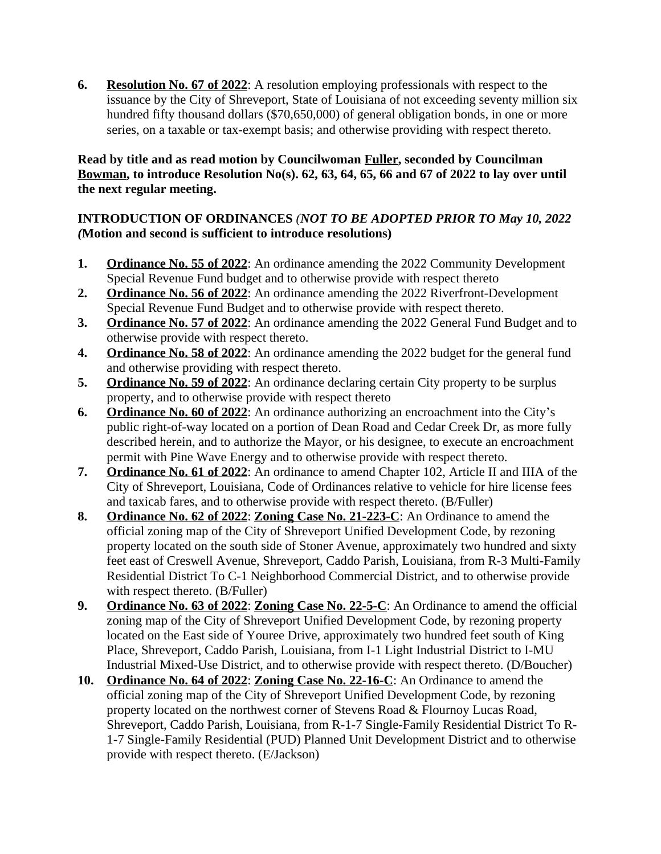**6. Resolution No. 67 of 2022**: A resolution employing professionals with respect to the issuance by the City of Shreveport, State of Louisiana of not exceeding seventy million six hundred fifty thousand dollars (\$70,650,000) of general obligation bonds, in one or more series, on a taxable or tax-exempt basis; and otherwise providing with respect thereto.

### **Read by title and as read motion by Councilwoman Fuller, seconded by Councilman Bowman, to introduce Resolution No(s). 62, 63, 64, 65, 66 and 67 of 2022 to lay over until the next regular meeting.**

### **INTRODUCTION OF ORDINANCES** *(NOT TO BE ADOPTED PRIOR TO May 10, 2022 (***Motion and second is sufficient to introduce resolutions)**

- **1. Ordinance No. 55 of 2022**: An ordinance amending the 2022 Community Development Special Revenue Fund budget and to otherwise provide with respect thereto
- **2. Ordinance No. 56 of 2022**: An ordinance amending the 2022 Riverfront-Development Special Revenue Fund Budget and to otherwise provide with respect thereto.
- **3. Ordinance No. 57 of 2022**: An ordinance amending the 2022 General Fund Budget and to otherwise provide with respect thereto.
- **4. Ordinance No. 58 of 2022**: An ordinance amending the 2022 budget for the general fund and otherwise providing with respect thereto.
- **5. Ordinance No. 59 of 2022**: An ordinance declaring certain City property to be surplus property, and to otherwise provide with respect thereto
- **6. Ordinance No. 60 of 2022**: An ordinance authorizing an encroachment into the City's public right-of-way located on a portion of Dean Road and Cedar Creek Dr, as more fully described herein, and to authorize the Mayor, or his designee, to execute an encroachment permit with Pine Wave Energy and to otherwise provide with respect thereto.
- **7. Ordinance No. 61 of 2022**: An ordinance to amend Chapter 102, Article II and IIIA of the City of Shreveport, Louisiana, Code of Ordinances relative to vehicle for hire license fees and taxicab fares, and to otherwise provide with respect thereto. (B/Fuller)
- **8. Ordinance No. 62 of 2022**: **Zoning Case No. 21-223-C**: An Ordinance to amend the official zoning map of the City of Shreveport Unified Development Code, by rezoning property located on the south side of Stoner Avenue, approximately two hundred and sixty feet east of Creswell Avenue, Shreveport, Caddo Parish, Louisiana, from R-3 Multi-Family Residential District To C-1 Neighborhood Commercial District, and to otherwise provide with respect thereto. (B/Fuller)
- **9. Ordinance No. 63 of 2022**: **Zoning Case No. 22-5-C**: An Ordinance to amend the official zoning map of the City of Shreveport Unified Development Code, by rezoning property located on the East side of Youree Drive, approximately two hundred feet south of King Place, Shreveport, Caddo Parish, Louisiana, from I-1 Light Industrial District to I-MU Industrial Mixed-Use District, and to otherwise provide with respect thereto. (D/Boucher)
- **10. Ordinance No. 64 of 2022**: **Zoning Case No. 22-16-C**: An Ordinance to amend the official zoning map of the City of Shreveport Unified Development Code, by rezoning property located on the northwest corner of Stevens Road & Flournoy Lucas Road, Shreveport, Caddo Parish, Louisiana, from R-1-7 Single-Family Residential District To R-1-7 Single-Family Residential (PUD) Planned Unit Development District and to otherwise provide with respect thereto. (E/Jackson)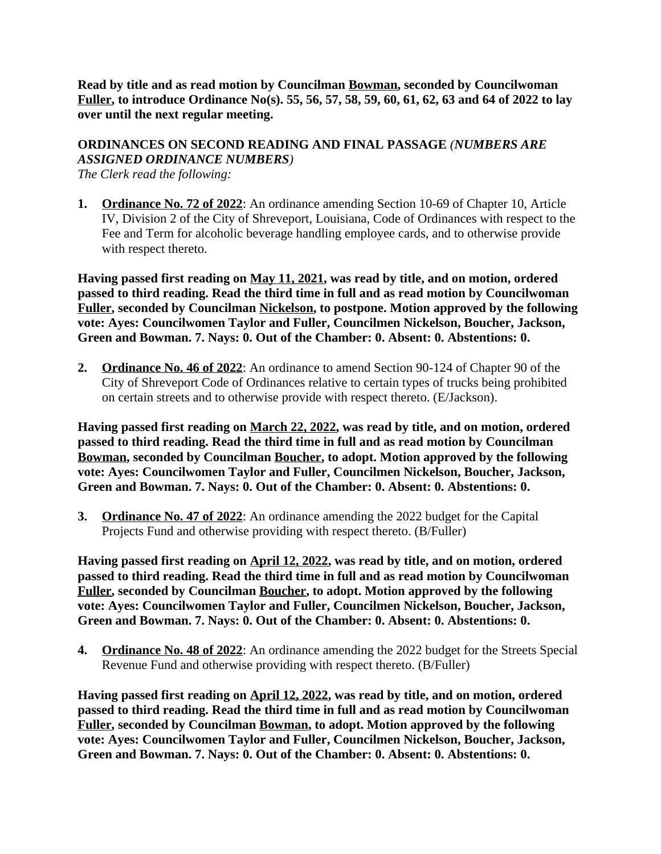**Read by title and as read motion by Councilman Bowman, seconded by Councilwoman Fuller, to introduce Ordinance No(s). 55, 56, 57, 58, 59, 60, 61, 62, 63 and 64 of 2022 to lay over until the next regular meeting.**

# **ORDINANCES ON SECOND READING AND FINAL PASSAGE** *(NUMBERS ARE ASSIGNED ORDINANCE NUMBERS)*

*The Clerk read the following:* 

**1. Ordinance No. 72 of 2022**: An ordinance amending Section 10-69 of Chapter 10, Article IV, Division 2 of the City of Shreveport, Louisiana, Code of Ordinances with respect to the Fee and Term for alcoholic beverage handling employee cards, and to otherwise provide with respect thereto.

**Having passed first reading on May 11, 2021, was read by title, and on motion, ordered passed to third reading. Read the third time in full and as read motion by Councilwoman Fuller, seconded by Councilman Nickelson, to postpone. Motion approved by the following vote: Ayes: Councilwomen Taylor and Fuller, Councilmen Nickelson, Boucher, Jackson, Green and Bowman. 7. Nays: 0. Out of the Chamber: 0. Absent: 0. Abstentions: 0.**

**2. Ordinance No. 46 of 2022**: An ordinance to amend Section 90-124 of Chapter 90 of the City of Shreveport Code of Ordinances relative to certain types of trucks being prohibited on certain streets and to otherwise provide with respect thereto. (E/Jackson).

**Having passed first reading on March 22, 2022, was read by title, and on motion, ordered passed to third reading. Read the third time in full and as read motion by Councilman Bowman, seconded by Councilman Boucher, to adopt. Motion approved by the following vote: Ayes: Councilwomen Taylor and Fuller, Councilmen Nickelson, Boucher, Jackson, Green and Bowman. 7. Nays: 0. Out of the Chamber: 0. Absent: 0. Abstentions: 0.**

**3. Ordinance No. 47 of 2022**: An ordinance amending the 2022 budget for the Capital Projects Fund and otherwise providing with respect thereto. (B/Fuller)

**Having passed first reading on April 12, 2022, was read by title, and on motion, ordered passed to third reading. Read the third time in full and as read motion by Councilwoman Fuller, seconded by Councilman Boucher, to adopt. Motion approved by the following vote: Ayes: Councilwomen Taylor and Fuller, Councilmen Nickelson, Boucher, Jackson, Green and Bowman. 7. Nays: 0. Out of the Chamber: 0. Absent: 0. Abstentions: 0.**

**4. Ordinance No. 48 of 2022**: An ordinance amending the 2022 budget for the Streets Special Revenue Fund and otherwise providing with respect thereto. (B/Fuller)

**Having passed first reading on April 12, 2022, was read by title, and on motion, ordered passed to third reading. Read the third time in full and as read motion by Councilwoman Fuller, seconded by Councilman Bowman, to adopt. Motion approved by the following vote: Ayes: Councilwomen Taylor and Fuller, Councilmen Nickelson, Boucher, Jackson, Green and Bowman. 7. Nays: 0. Out of the Chamber: 0. Absent: 0. Abstentions: 0.**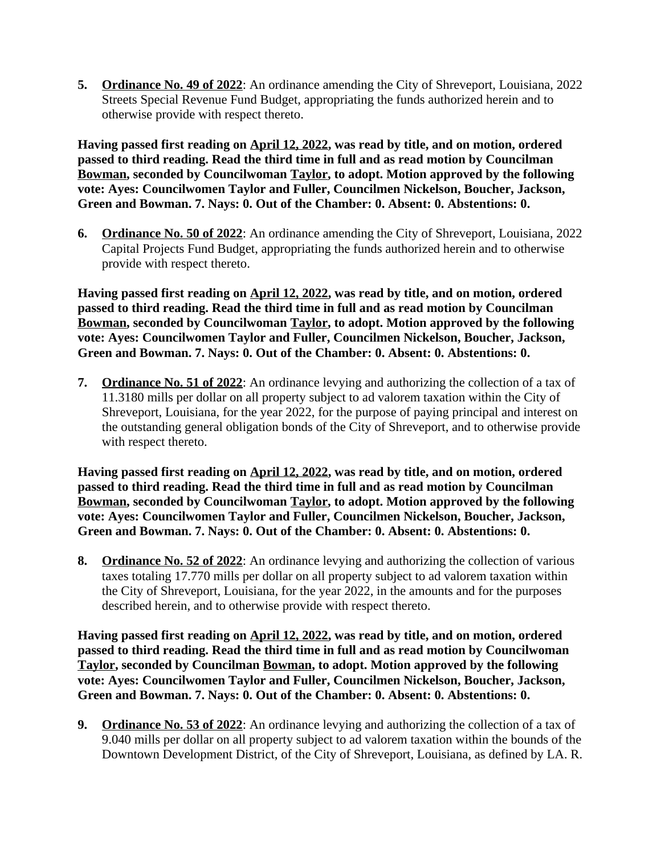**5. Ordinance No. 49 of 2022**: An ordinance amending the City of Shreveport, Louisiana, 2022 Streets Special Revenue Fund Budget, appropriating the funds authorized herein and to otherwise provide with respect thereto.

**Having passed first reading on April 12, 2022, was read by title, and on motion, ordered passed to third reading. Read the third time in full and as read motion by Councilman Bowman, seconded by Councilwoman Taylor, to adopt. Motion approved by the following vote: Ayes: Councilwomen Taylor and Fuller, Councilmen Nickelson, Boucher, Jackson, Green and Bowman. 7. Nays: 0. Out of the Chamber: 0. Absent: 0. Abstentions: 0.**

**6. Ordinance No. 50 of 2022**: An ordinance amending the City of Shreveport, Louisiana, 2022 Capital Projects Fund Budget, appropriating the funds authorized herein and to otherwise provide with respect thereto.

**Having passed first reading on April 12, 2022, was read by title, and on motion, ordered passed to third reading. Read the third time in full and as read motion by Councilman Bowman, seconded by Councilwoman Taylor, to adopt. Motion approved by the following vote: Ayes: Councilwomen Taylor and Fuller, Councilmen Nickelson, Boucher, Jackson, Green and Bowman. 7. Nays: 0. Out of the Chamber: 0. Absent: 0. Abstentions: 0.**

**7. Ordinance No. 51 of 2022**: An ordinance levying and authorizing the collection of a tax of 11.3180 mills per dollar on all property subject to ad valorem taxation within the City of Shreveport, Louisiana, for the year 2022, for the purpose of paying principal and interest on the outstanding general obligation bonds of the City of Shreveport, and to otherwise provide with respect thereto.

**Having passed first reading on April 12, 2022, was read by title, and on motion, ordered passed to third reading. Read the third time in full and as read motion by Councilman Bowman, seconded by Councilwoman Taylor, to adopt. Motion approved by the following vote: Ayes: Councilwomen Taylor and Fuller, Councilmen Nickelson, Boucher, Jackson, Green and Bowman. 7. Nays: 0. Out of the Chamber: 0. Absent: 0. Abstentions: 0.**

**8. Ordinance No. 52 of 2022**: An ordinance levying and authorizing the collection of various taxes totaling 17.770 mills per dollar on all property subject to ad valorem taxation within the City of Shreveport, Louisiana, for the year 2022, in the amounts and for the purposes described herein, and to otherwise provide with respect thereto.

**Having passed first reading on April 12, 2022, was read by title, and on motion, ordered passed to third reading. Read the third time in full and as read motion by Councilwoman Taylor, seconded by Councilman Bowman, to adopt. Motion approved by the following vote: Ayes: Councilwomen Taylor and Fuller, Councilmen Nickelson, Boucher, Jackson, Green and Bowman. 7. Nays: 0. Out of the Chamber: 0. Absent: 0. Abstentions: 0.**

**9. Ordinance No. 53 of 2022**: An ordinance levying and authorizing the collection of a tax of 9.040 mills per dollar on all property subject to ad valorem taxation within the bounds of the Downtown Development District, of the City of Shreveport, Louisiana, as defined by LA. R.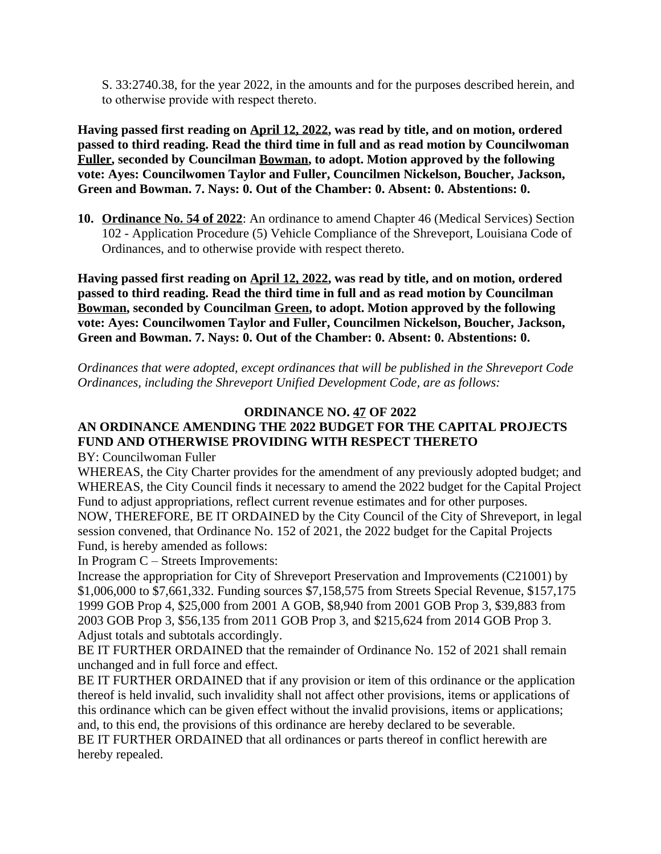S. 33:2740.38, for the year 2022, in the amounts and for the purposes described herein, and to otherwise provide with respect thereto.

**Having passed first reading on April 12, 2022, was read by title, and on motion, ordered passed to third reading. Read the third time in full and as read motion by Councilwoman Fuller, seconded by Councilman Bowman, to adopt. Motion approved by the following vote: Ayes: Councilwomen Taylor and Fuller, Councilmen Nickelson, Boucher, Jackson, Green and Bowman. 7. Nays: 0. Out of the Chamber: 0. Absent: 0. Abstentions: 0.**

**10. Ordinance No. 54 of 2022**: An ordinance to amend Chapter 46 (Medical Services) Section 102 - Application Procedure (5) Vehicle Compliance of the Shreveport, Louisiana Code of Ordinances, and to otherwise provide with respect thereto.

**Having passed first reading on April 12, 2022, was read by title, and on motion, ordered passed to third reading. Read the third time in full and as read motion by Councilman Bowman, seconded by Councilman Green, to adopt. Motion approved by the following vote: Ayes: Councilwomen Taylor and Fuller, Councilmen Nickelson, Boucher, Jackson, Green and Bowman. 7. Nays: 0. Out of the Chamber: 0. Absent: 0. Abstentions: 0.**

*Ordinances that were adopted, except ordinances that will be published in the Shreveport Code Ordinances, including the Shreveport Unified Development Code, are as follows:*

### **ORDINANCE NO. 47 OF 2022**

# **AN ORDINANCE AMENDING THE 2022 BUDGET FOR THE CAPITAL PROJECTS FUND AND OTHERWISE PROVIDING WITH RESPECT THERETO**

BY: Councilwoman Fuller

WHEREAS, the City Charter provides for the amendment of any previously adopted budget; and WHEREAS, the City Council finds it necessary to amend the 2022 budget for the Capital Project Fund to adjust appropriations, reflect current revenue estimates and for other purposes.

NOW, THEREFORE, BE IT ORDAINED by the City Council of the City of Shreveport, in legal session convened, that Ordinance No. 152 of 2021, the 2022 budget for the Capital Projects Fund, is hereby amended as follows:

In Program C – Streets Improvements:

Increase the appropriation for City of Shreveport Preservation and Improvements (C21001) by \$1,006,000 to \$7,661,332. Funding sources \$7,158,575 from Streets Special Revenue, \$157,175 1999 GOB Prop 4, \$25,000 from 2001 A GOB, \$8,940 from 2001 GOB Prop 3, \$39,883 from 2003 GOB Prop 3, \$56,135 from 2011 GOB Prop 3, and \$215,624 from 2014 GOB Prop 3. Adjust totals and subtotals accordingly.

BE IT FURTHER ORDAINED that the remainder of Ordinance No. 152 of 2021 shall remain unchanged and in full force and effect.

BE IT FURTHER ORDAINED that if any provision or item of this ordinance or the application thereof is held invalid, such invalidity shall not affect other provisions, items or applications of this ordinance which can be given effect without the invalid provisions, items or applications; and, to this end, the provisions of this ordinance are hereby declared to be severable.

BE IT FURTHER ORDAINED that all ordinances or parts thereof in conflict herewith are hereby repealed.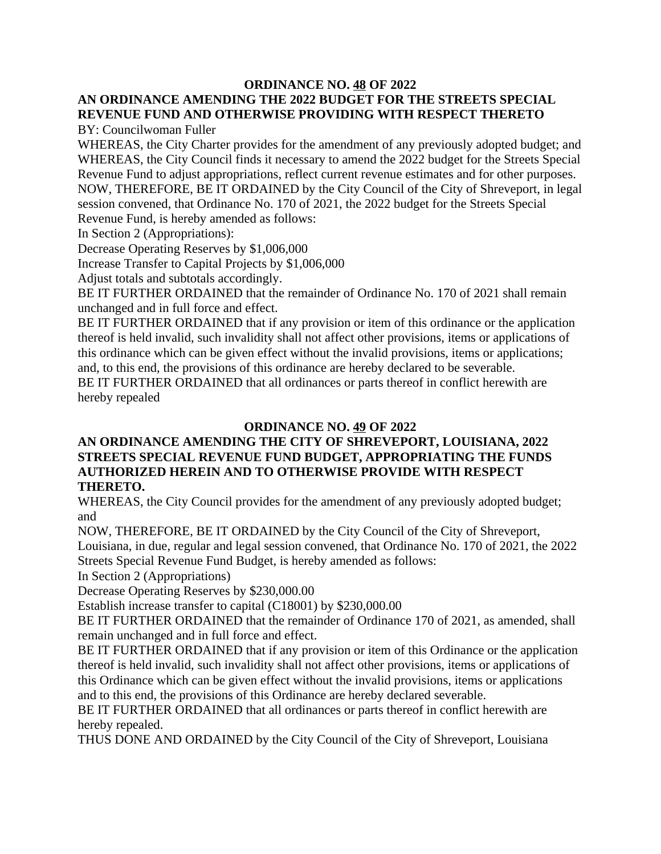### **ORDINANCE NO. 48 OF 2022**

#### **AN ORDINANCE AMENDING THE 2022 BUDGET FOR THE STREETS SPECIAL REVENUE FUND AND OTHERWISE PROVIDING WITH RESPECT THERETO** BY: Councilwoman Fuller

WHEREAS, the City Charter provides for the amendment of any previously adopted budget; and WHEREAS, the City Council finds it necessary to amend the 2022 budget for the Streets Special Revenue Fund to adjust appropriations, reflect current revenue estimates and for other purposes. NOW, THEREFORE, BE IT ORDAINED by the City Council of the City of Shreveport, in legal session convened, that Ordinance No. 170 of 2021, the 2022 budget for the Streets Special Revenue Fund, is hereby amended as follows:

In Section 2 (Appropriations):

Decrease Operating Reserves by \$1,006,000

Increase Transfer to Capital Projects by \$1,006,000

Adjust totals and subtotals accordingly.

BE IT FURTHER ORDAINED that the remainder of Ordinance No. 170 of 2021 shall remain unchanged and in full force and effect.

BE IT FURTHER ORDAINED that if any provision or item of this ordinance or the application thereof is held invalid, such invalidity shall not affect other provisions, items or applications of this ordinance which can be given effect without the invalid provisions, items or applications; and, to this end, the provisions of this ordinance are hereby declared to be severable.

BE IT FURTHER ORDAINED that all ordinances or parts thereof in conflict herewith are hereby repealed

### **ORDINANCE NO. 49 OF 2022**

### **AN ORDINANCE AMENDING THE CITY OF SHREVEPORT, LOUISIANA, 2022 STREETS SPECIAL REVENUE FUND BUDGET, APPROPRIATING THE FUNDS AUTHORIZED HEREIN AND TO OTHERWISE PROVIDE WITH RESPECT THERETO.**

WHEREAS, the City Council provides for the amendment of any previously adopted budget; and

NOW, THEREFORE, BE IT ORDAINED by the City Council of the City of Shreveport, Louisiana, in due, regular and legal session convened, that Ordinance No. 170 of 2021, the 2022 Streets Special Revenue Fund Budget, is hereby amended as follows:

In Section 2 (Appropriations)

Decrease Operating Reserves by \$230,000.00

Establish increase transfer to capital (C18001) by \$230,000.00

BE IT FURTHER ORDAINED that the remainder of Ordinance 170 of 2021, as amended, shall remain unchanged and in full force and effect.

BE IT FURTHER ORDAINED that if any provision or item of this Ordinance or the application thereof is held invalid, such invalidity shall not affect other provisions, items or applications of this Ordinance which can be given effect without the invalid provisions, items or applications and to this end, the provisions of this Ordinance are hereby declared severable.

BE IT FURTHER ORDAINED that all ordinances or parts thereof in conflict herewith are hereby repealed.

THUS DONE AND ORDAINED by the City Council of the City of Shreveport, Louisiana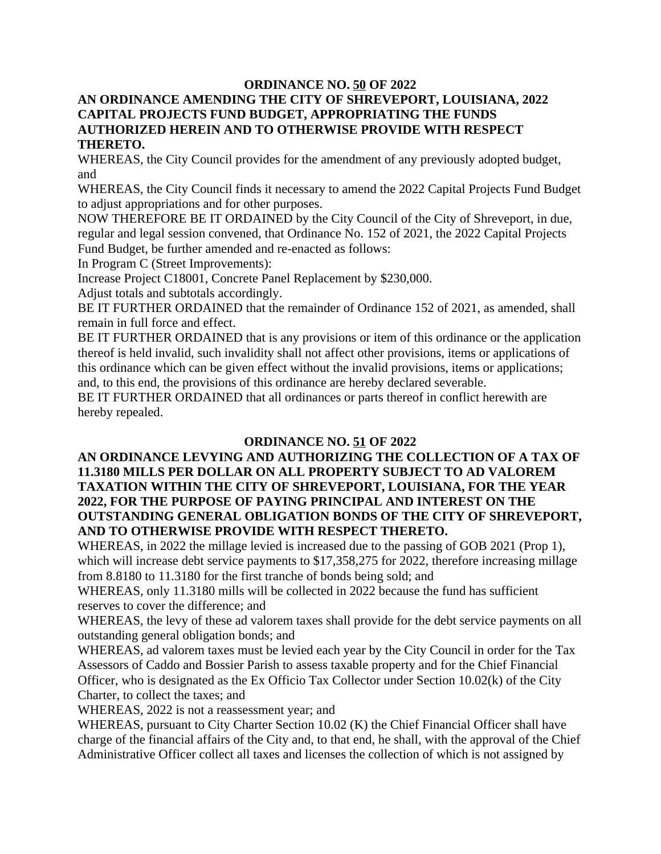### **ORDINANCE NO. 50 OF 2022**

#### **AN ORDINANCE AMENDING THE CITY OF SHREVEPORT, LOUISIANA, 2022 CAPITAL PROJECTS FUND BUDGET, APPROPRIATING THE FUNDS AUTHORIZED HEREIN AND TO OTHERWISE PROVIDE WITH RESPECT THERETO.**

WHEREAS, the City Council provides for the amendment of any previously adopted budget, and

WHEREAS, the City Council finds it necessary to amend the 2022 Capital Projects Fund Budget to adjust appropriations and for other purposes.

NOW THEREFORE BE IT ORDAINED by the City Council of the City of Shreveport, in due, regular and legal session convened, that Ordinance No. 152 of 2021, the 2022 Capital Projects Fund Budget, be further amended and re-enacted as follows:

In Program C (Street Improvements):

Increase Project C18001, Concrete Panel Replacement by \$230,000.

Adjust totals and subtotals accordingly.

BE IT FURTHER ORDAINED that the remainder of Ordinance 152 of 2021, as amended, shall remain in full force and effect.

BE IT FURTHER ORDAINED that is any provisions or item of this ordinance or the application thereof is held invalid, such invalidity shall not affect other provisions, items or applications of this ordinance which can be given effect without the invalid provisions, items or applications; and, to this end, the provisions of this ordinance are hereby declared severable.

BE IT FURTHER ORDAINED that all ordinances or parts thereof in conflict herewith are hereby repealed.

### **ORDINANCE NO. 51 OF 2022**

### **AN ORDINANCE LEVYING AND AUTHORIZING THE COLLECTION OF A TAX OF 11.3180 MILLS PER DOLLAR ON ALL PROPERTY SUBJECT TO AD VALOREM TAXATION WITHIN THE CITY OF SHREVEPORT, LOUISIANA, FOR THE YEAR 2022, FOR THE PURPOSE OF PAYING PRINCIPAL AND INTEREST ON THE OUTSTANDING GENERAL OBLIGATION BONDS OF THE CITY OF SHREVEPORT, AND TO OTHERWISE PROVIDE WITH RESPECT THERETO.**

WHEREAS, in 2022 the millage levied is increased due to the passing of GOB 2021 (Prop 1), which will increase debt service payments to \$17,358,275 for 2022, therefore increasing millage from 8.8180 to 11.3180 for the first tranche of bonds being sold; and

WHEREAS, only 11.3180 mills will be collected in 2022 because the fund has sufficient reserves to cover the difference; and

WHEREAS, the levy of these ad valorem taxes shall provide for the debt service payments on all outstanding general obligation bonds; and

WHEREAS, ad valorem taxes must be levied each year by the City Council in order for the Tax Assessors of Caddo and Bossier Parish to assess taxable property and for the Chief Financial Officer, who is designated as the Ex Officio Tax Collector under Section 10.02(k) of the City Charter, to collect the taxes; and

WHEREAS, 2022 is not a reassessment year; and

WHEREAS, pursuant to City Charter Section 10.02 (K) the Chief Financial Officer shall have charge of the financial affairs of the City and, to that end, he shall, with the approval of the Chief Administrative Officer collect all taxes and licenses the collection of which is not assigned by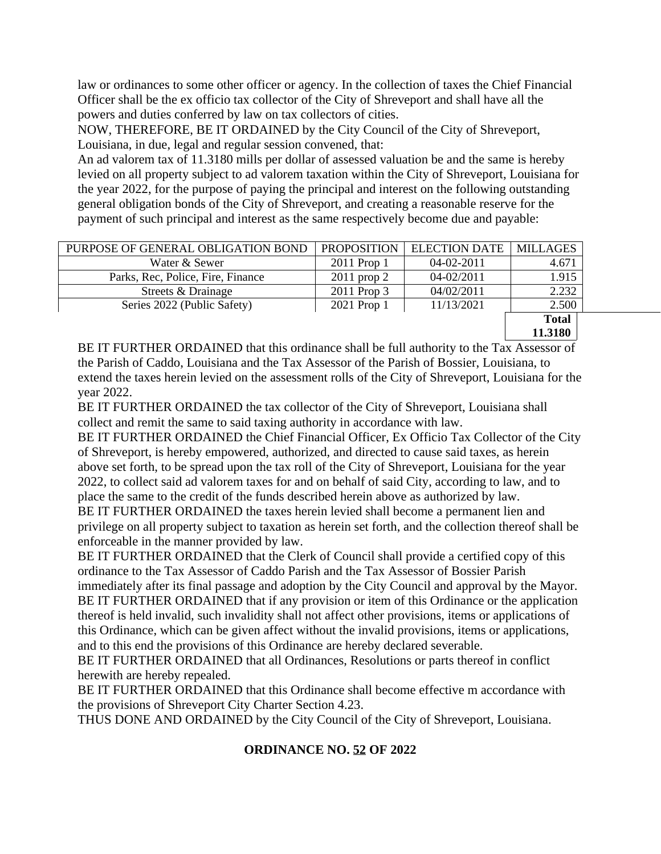law or ordinances to some other officer or agency. In the collection of taxes the Chief Financial Officer shall be the ex officio tax collector of the City of Shreveport and shall have all the powers and duties conferred by law on tax collectors of cities.

NOW, THEREFORE, BE IT ORDAINED by the City Council of the City of Shreveport, Louisiana, in due, legal and regular session convened, that:

An ad valorem tax of 11.3180 mills per dollar of assessed valuation be and the same is hereby levied on all property subject to ad valorem taxation within the City of Shreveport, Louisiana for the year 2022, for the purpose of paying the principal and interest on the following outstanding general obligation bonds of the City of Shreveport, and creating a reasonable reserve for the payment of such principal and interest as the same respectively become due and payable:

| PURPOSE OF GENERAL OBLIGATION BOND | <b>PROPOSITION</b> | <b>ELECTION DATE</b> | <b>MILLAGES</b> |
|------------------------------------|--------------------|----------------------|-----------------|
| Water & Sewer                      | 2011 Prop 1        | $04-02-2011$         | 4.671           |
| Parks, Rec, Police, Fire, Finance  | $2011$ prop 2      | $04 - 02/2011$       | 1.915           |
| Streets & Drainage                 | 2011 Prop 3        | 04/02/2011           | 2.232           |
| Series 2022 (Public Safety)        | 2021 Prop 1        | 11/13/2021           | 2.500           |
|                                    |                    |                      | <b>Total</b>    |
|                                    |                    |                      | 11.3180         |

BE IT FURTHER ORDAINED that this ordinance shall be full authority to the Tax Assessor of the Parish of Caddo, Louisiana and the Tax Assessor of the Parish of Bossier, Louisiana, to extend the taxes herein levied on the assessment rolls of the City of Shreveport, Louisiana for the year 2022.

BE IT FURTHER ORDAINED the tax collector of the City of Shreveport, Louisiana shall collect and remit the same to said taxing authority in accordance with law.

BE IT FURTHER ORDAINED the Chief Financial Officer, Ex Officio Tax Collector of the City of Shreveport, is hereby empowered, authorized, and directed to cause said taxes, as herein above set forth, to be spread upon the tax roll of the City of Shreveport, Louisiana for the year 2022, to collect said ad valorem taxes for and on behalf of said City, according to law, and to place the same to the credit of the funds described herein above as authorized by law.

BE IT FURTHER ORDAINED the taxes herein levied shall become a permanent lien and privilege on all property subject to taxation as herein set forth, and the collection thereof shall be enforceable in the manner provided by law.

BE IT FURTHER ORDAINED that the Clerk of Council shall provide a certified copy of this ordinance to the Tax Assessor of Caddo Parish and the Tax Assessor of Bossier Parish immediately after its final passage and adoption by the City Council and approval by the Mayor. BE IT FURTHER ORDAINED that if any provision or item of this Ordinance or the application thereof is held invalid, such invalidity shall not affect other provisions, items or applications of this Ordinance, which can be given affect without the invalid provisions, items or applications, and to this end the provisions of this Ordinance are hereby declared severable.

BE IT FURTHER ORDAINED that all Ordinances, Resolutions or parts thereof in conflict herewith are hereby repealed.

BE IT FURTHER ORDAINED that this Ordinance shall become effective m accordance with the provisions of Shreveport City Charter Section 4.23.

THUS DONE AND ORDAINED by the City Council of the City of Shreveport, Louisiana.

### **ORDINANCE NO. 52 OF 2022**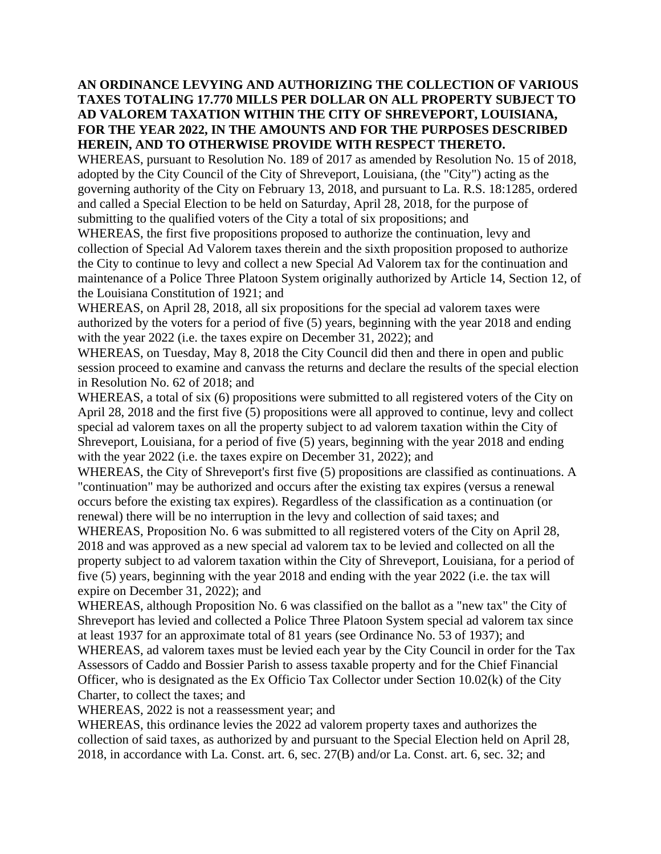### **AN ORDINANCE LEVYING AND AUTHORIZING THE COLLECTION OF VARIOUS TAXES TOTALING 17.770 MILLS PER DOLLAR ON ALL PROPERTY SUBJECT TO AD VALOREM TAXATION WITHIN THE CITY OF SHREVEPORT, LOUISIANA, FOR THE YEAR 2022, IN THE AMOUNTS AND FOR THE PURPOSES DESCRIBED HEREIN, AND TO OTHERWISE PROVIDE WITH RESPECT THERETO.**

WHEREAS, pursuant to Resolution No. 189 of 2017 as amended by Resolution No. 15 of 2018, adopted by the City Council of the City of Shreveport, Louisiana, (the "City") acting as the governing authority of the City on February 13, 2018, and pursuant to La. R.S. 18:1285, ordered and called a Special Election to be held on Saturday, April 28, 2018, for the purpose of submitting to the qualified voters of the City a total of six propositions; and

WHEREAS, the first five propositions proposed to authorize the continuation, levy and collection of Special Ad Valorem taxes therein and the sixth proposition proposed to authorize the City to continue to levy and collect a new Special Ad Valorem tax for the continuation and maintenance of a Police Three Platoon System originally authorized by Article 14, Section 12, of the Louisiana Constitution of 1921; and

WHEREAS, on April 28, 2018, all six propositions for the special ad valorem taxes were authorized by the voters for a period of five (5) years, beginning with the year 2018 and ending with the year 2022 (i.e. the taxes expire on December 31, 2022); and

WHEREAS, on Tuesday, May 8, 2018 the City Council did then and there in open and public session proceed to examine and canvass the returns and declare the results of the special election in Resolution No. 62 of 2018; and

WHEREAS, a total of six (6) propositions were submitted to all registered voters of the City on April 28, 2018 and the first five (5) propositions were all approved to continue, levy and collect special ad valorem taxes on all the property subject to ad valorem taxation within the City of Shreveport, Louisiana, for a period of five (5) years, beginning with the year 2018 and ending with the year 2022 (i.e. the taxes expire on December 31, 2022); and

WHEREAS, the City of Shreveport's first five (5) propositions are classified as continuations. A "continuation" may be authorized and occurs after the existing tax expires (versus a renewal occurs before the existing tax expires). Regardless of the classification as a continuation (or renewal) there will be no interruption in the levy and collection of said taxes; and

WHEREAS, Proposition No. 6 was submitted to all registered voters of the City on April 28, 2018 and was approved as a new special ad valorem tax to be levied and collected on all the property subject to ad valorem taxation within the City of Shreveport, Louisiana, for a period of five (5) years, beginning with the year 2018 and ending with the year 2022 (i.e. the tax will expire on December 31, 2022); and

WHEREAS, although Proposition No. 6 was classified on the ballot as a "new tax" the City of Shreveport has levied and collected a Police Three Platoon System special ad valorem tax since at least 1937 for an approximate total of 81 years (see Ordinance No. 53 of 1937); and WHEREAS, ad valorem taxes must be levied each year by the City Council in order for the Tax

Assessors of Caddo and Bossier Parish to assess taxable property and for the Chief Financial Officer, who is designated as the Ex Officio Tax Collector under Section 10.02(k) of the City Charter, to collect the taxes; and

WHEREAS, 2022 is not a reassessment year; and

WHEREAS, this ordinance levies the 2022 ad valorem property taxes and authorizes the collection of said taxes, as authorized by and pursuant to the Special Election held on April 28, 2018, in accordance with La. Const. art. 6, sec. 27(B) and/or La. Const. art. 6, sec. 32; and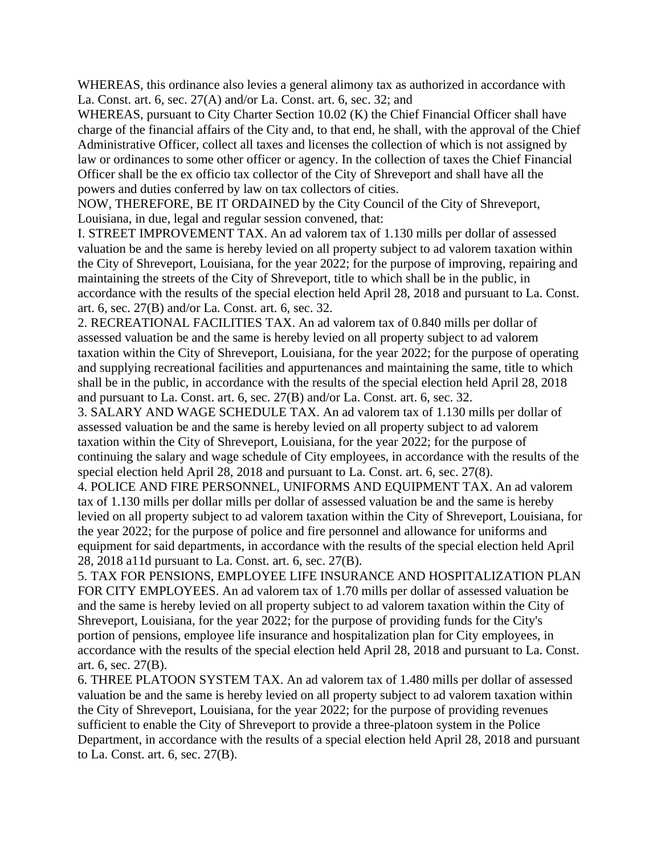WHEREAS, this ordinance also levies a general alimony tax as authorized in accordance with La. Const. art. 6, sec. 27(A) and/or La. Const. art. 6, sec. 32; and

WHEREAS, pursuant to City Charter Section 10.02 (K) the Chief Financial Officer shall have charge of the financial affairs of the City and, to that end, he shall, with the approval of the Chief Administrative Officer, collect all taxes and licenses the collection of which is not assigned by law or ordinances to some other officer or agency. In the collection of taxes the Chief Financial Officer shall be the ex officio tax collector of the City of Shreveport and shall have all the powers and duties conferred by law on tax collectors of cities.

NOW, THEREFORE, BE IT ORDAINED by the City Council of the City of Shreveport, Louisiana, in due, legal and regular session convened, that:

I. STREET IMPROVEMENT TAX. An ad valorem tax of 1.130 mills per dollar of assessed valuation be and the same is hereby levied on all property subject to ad valorem taxation within the City of Shreveport, Louisiana, for the year 2022; for the purpose of improving, repairing and maintaining the streets of the City of Shreveport, title to which shall be in the public, in accordance with the results of the special election held April 28, 2018 and pursuant to La. Const. art. 6, sec. 27(B) and/or La. Const. art. 6, sec. 32.

2. RECREATIONAL FACILITIES TAX. An ad valorem tax of 0.840 mills per dollar of assessed valuation be and the same is hereby levied on all property subject to ad valorem taxation within the City of Shreveport, Louisiana, for the year 2022; for the purpose of operating and supplying recreational facilities and appurtenances and maintaining the same, title to which shall be in the public, in accordance with the results of the special election held April 28, 2018 and pursuant to La. Const. art. 6, sec. 27(B) and/or La. Const. art. 6, sec. 32.

3. SALARY AND WAGE SCHEDULE TAX. An ad valorem tax of 1.130 mills per dollar of assessed valuation be and the same is hereby levied on all property subject to ad valorem taxation within the City of Shreveport, Louisiana, for the year 2022; for the purpose of continuing the salary and wage schedule of City employees, in accordance with the results of the special election held April 28, 2018 and pursuant to La. Const. art. 6, sec. 27(8).

4. POLICE AND FIRE PERSONNEL, UNIFORMS AND EQUIPMENT TAX. An ad valorem tax of 1.130 mills per dollar mills per dollar of assessed valuation be and the same is hereby levied on all property subject to ad valorem taxation within the City of Shreveport, Louisiana, for the year 2022; for the purpose of police and fire personnel and allowance for uniforms and equipment for said departments, in accordance with the results of the special election held April 28, 2018 a11d pursuant to La. Const. art. 6, sec. 27(B).

5. TAX FOR PENSIONS, EMPLOYEE LIFE INSURANCE AND HOSPITALIZATION PLAN FOR CITY EMPLOYEES. An ad valorem tax of 1.70 mills per dollar of assessed valuation be and the same is hereby levied on all property subject to ad valorem taxation within the City of Shreveport, Louisiana, for the year 2022; for the purpose of providing funds for the City's portion of pensions, employee life insurance and hospitalization plan for City employees, in accordance with the results of the special election held April 28, 2018 and pursuant to La. Const. art. 6, sec. 27(B).

6. THREE PLATOON SYSTEM TAX. An ad valorem tax of 1.480 mills per dollar of assessed valuation be and the same is hereby levied on all property subject to ad valorem taxation within the City of Shreveport, Louisiana, for the year 2022; for the purpose of providing revenues sufficient to enable the City of Shreveport to provide a three-platoon system in the Police Department, in accordance with the results of a special election held April 28, 2018 and pursuant to La. Const. art. 6, sec. 27(B).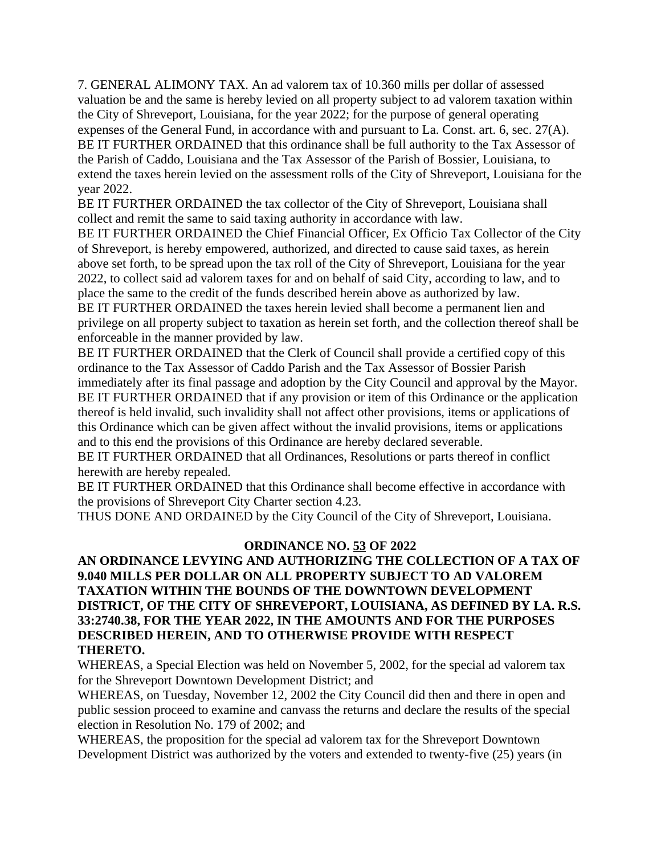7. GENERAL ALIMONY TAX. An ad valorem tax of 10.360 mills per dollar of assessed valuation be and the same is hereby levied on all property subject to ad valorem taxation within the City of Shreveport, Louisiana, for the year 2022; for the purpose of general operating expenses of the General Fund, in accordance with and pursuant to La. Const. art. 6, sec. 27(A). BE IT FURTHER ORDAINED that this ordinance shall be full authority to the Tax Assessor of the Parish of Caddo, Louisiana and the Tax Assessor of the Parish of Bossier, Louisiana, to extend the taxes herein levied on the assessment rolls of the City of Shreveport, Louisiana for the year 2022.

BE IT FURTHER ORDAINED the tax collector of the City of Shreveport, Louisiana shall collect and remit the same to said taxing authority in accordance with law.

BE IT FURTHER ORDAINED the Chief Financial Officer, Ex Officio Tax Collector of the City of Shreveport, is hereby empowered, authorized, and directed to cause said taxes, as herein above set forth, to be spread upon the tax roll of the City of Shreveport, Louisiana for the year 2022, to collect said ad valorem taxes for and on behalf of said City, according to law, and to place the same to the credit of the funds described herein above as authorized by law.

BE IT FURTHER ORDAINED the taxes herein levied shall become a permanent lien and privilege on all property subject to taxation as herein set forth, and the collection thereof shall be enforceable in the manner provided by law.

BE IT FURTHER ORDAINED that the Clerk of Council shall provide a certified copy of this ordinance to the Tax Assessor of Caddo Parish and the Tax Assessor of Bossier Parish immediately after its final passage and adoption by the City Council and approval by the Mayor. BE IT FURTHER ORDAINED that if any provision or item of this Ordinance or the application thereof is held invalid, such invalidity shall not affect other provisions, items or applications of this Ordinance which can be given affect without the invalid provisions, items or applications and to this end the provisions of this Ordinance are hereby declared severable.

BE IT FURTHER ORDAINED that all Ordinances, Resolutions or parts thereof in conflict herewith are hereby repealed.

BE IT FURTHER ORDAINED that this Ordinance shall become effective in accordance with the provisions of Shreveport City Charter section 4.23.

THUS DONE AND ORDAINED by the City Council of the City of Shreveport, Louisiana.

### **ORDINANCE NO. 53 OF 2022**

### **AN ORDINANCE LEVYING AND AUTHORIZING THE COLLECTION OF A TAX OF 9.040 MILLS PER DOLLAR ON ALL PROPERTY SUBJECT TO AD VALOREM TAXATION WITHIN THE BOUNDS OF THE DOWNTOWN DEVELOPMENT DISTRICT, OF THE CITY OF SHREVEPORT, LOUISIANA, AS DEFINED BY LA. R.S. 33:2740.38, FOR THE YEAR 2022, IN THE AMOUNTS AND FOR THE PURPOSES DESCRIBED HEREIN, AND TO OTHERWISE PROVIDE WITH RESPECT THERETO.**

WHEREAS, a Special Election was held on November 5, 2002, for the special ad valorem tax for the Shreveport Downtown Development District; and

WHEREAS, on Tuesday, November 12, 2002 the City Council did then and there in open and public session proceed to examine and canvass the returns and declare the results of the special election in Resolution No. 179 of 2002; and

WHEREAS, the proposition for the special ad valorem tax for the Shreveport Downtown Development District was authorized by the voters and extended to twenty-five (25) years (in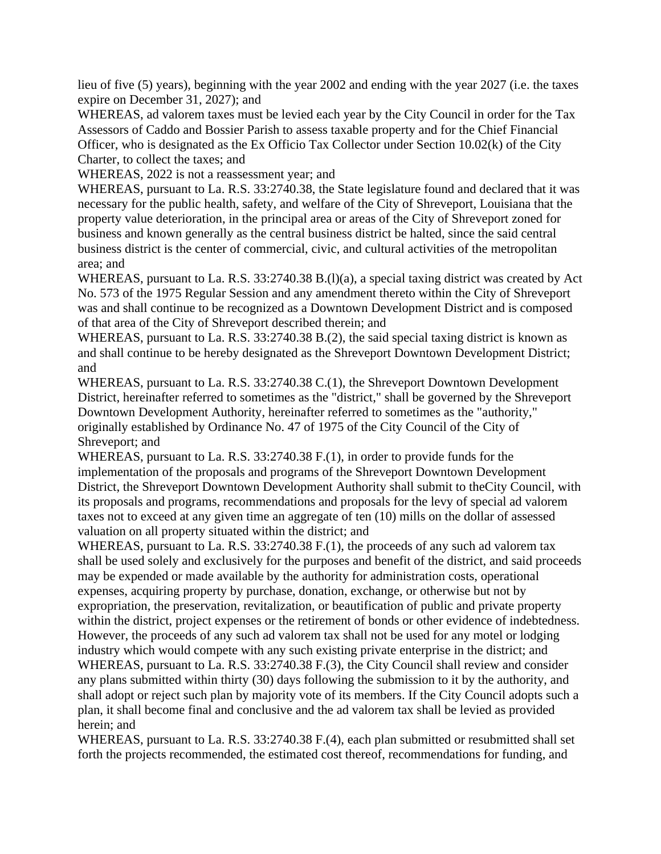lieu of five (5) years), beginning with the year 2002 and ending with the year 2027 (i.e. the taxes expire on December 31, 2027); and

WHEREAS, ad valorem taxes must be levied each year by the City Council in order for the Tax Assessors of Caddo and Bossier Parish to assess taxable property and for the Chief Financial Officer, who is designated as the Ex Officio Tax Collector under Section 10.02(k) of the City Charter, to collect the taxes; and

WHEREAS, 2022 is not a reassessment year; and

WHEREAS, pursuant to La. R.S. 33:2740.38, the State legislature found and declared that it was necessary for the public health, safety, and welfare of the City of Shreveport, Louisiana that the property value deterioration, in the principal area or areas of the City of Shreveport zoned for business and known generally as the central business district be halted, since the said central business district is the center of commercial, civic, and cultural activities of the metropolitan area; and

WHEREAS, pursuant to La. R.S. 33:2740.38 B.(1)(a), a special taxing district was created by Act No. 573 of the 1975 Regular Session and any amendment thereto within the City of Shreveport was and shall continue to be recognized as a Downtown Development District and is composed of that area of the City of Shreveport described therein; and

WHEREAS, pursuant to La. R.S. 33:2740.38 B.(2), the said special taxing district is known as and shall continue to be hereby designated as the Shreveport Downtown Development District; and

WHEREAS, pursuant to La. R.S. 33:2740.38 C.(1), the Shreveport Downtown Development District, hereinafter referred to sometimes as the "district," shall be governed by the Shreveport Downtown Development Authority, hereinafter referred to sometimes as the "authority," originally established by Ordinance No. 47 of 1975 of the City Council of the City of Shreveport; and

WHEREAS, pursuant to La. R.S. 33:2740.38 F.(1), in order to provide funds for the implementation of the proposals and programs of the Shreveport Downtown Development District, the Shreveport Downtown Development Authority shall submit to theCity Council, with its proposals and programs, recommendations and proposals for the levy of special ad valorem taxes not to exceed at any given time an aggregate of ten (10) mills on the dollar of assessed valuation on all property situated within the district; and

WHEREAS, pursuant to La. R.S. 33:2740.38 F.(1), the proceeds of any such ad valorem tax shall be used solely and exclusively for the purposes and benefit of the district, and said proceeds may be expended or made available by the authority for administration costs, operational expenses, acquiring property by purchase, donation, exchange, or otherwise but not by expropriation, the preservation, revitalization, or beautification of public and private property within the district, project expenses or the retirement of bonds or other evidence of indebtedness. However, the proceeds of any such ad valorem tax shall not be used for any motel or lodging industry which would compete with any such existing private enterprise in the district; and WHEREAS, pursuant to La. R.S. 33:2740.38 F.(3), the City Council shall review and consider any plans submitted within thirty (30) days following the submission to it by the authority, and shall adopt or reject such plan by majority vote of its members. If the City Council adopts such a plan, it shall become final and conclusive and the ad valorem tax shall be levied as provided herein; and

WHEREAS, pursuant to La. R.S. 33:2740.38 F.(4), each plan submitted or resubmitted shall set forth the projects recommended, the estimated cost thereof, recommendations for funding, and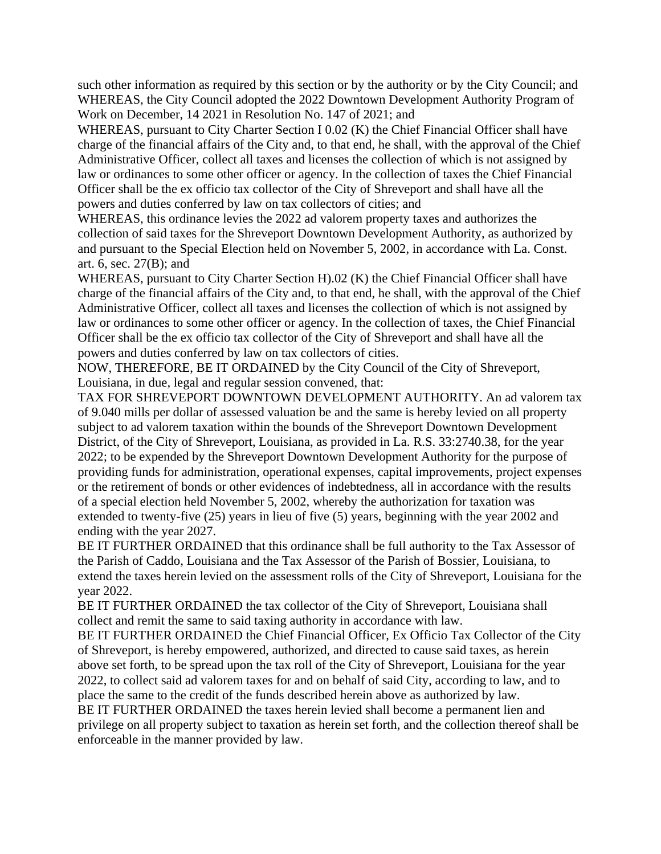such other information as required by this section or by the authority or by the City Council; and WHEREAS, the City Council adopted the 2022 Downtown Development Authority Program of Work on December, 14 2021 in Resolution No. 147 of 2021; and

WHEREAS, pursuant to City Charter Section I 0.02 (K) the Chief Financial Officer shall have charge of the financial affairs of the City and, to that end, he shall, with the approval of the Chief Administrative Officer, collect all taxes and licenses the collection of which is not assigned by law or ordinances to some other officer or agency. In the collection of taxes the Chief Financial Officer shall be the ex officio tax collector of the City of Shreveport and shall have all the powers and duties conferred by law on tax collectors of cities; and

WHEREAS, this ordinance levies the 2022 ad valorem property taxes and authorizes the collection of said taxes for the Shreveport Downtown Development Authority, as authorized by and pursuant to the Special Election held on November 5, 2002, in accordance with La. Const. art. 6, sec. 27(B); and

WHEREAS, pursuant to City Charter Section H).02 (K) the Chief Financial Officer shall have charge of the financial affairs of the City and, to that end, he shall, with the approval of the Chief Administrative Officer, collect all taxes and licenses the collection of which is not assigned by law or ordinances to some other officer or agency. In the collection of taxes, the Chief Financial Officer shall be the ex officio tax collector of the City of Shreveport and shall have all the powers and duties conferred by law on tax collectors of cities.

NOW, THEREFORE, BE IT ORDAINED by the City Council of the City of Shreveport, Louisiana, in due, legal and regular session convened, that:

TAX FOR SHREVEPORT DOWNTOWN DEVELOPMENT AUTHORITY. An ad valorem tax of 9.040 mills per dollar of assessed valuation be and the same is hereby levied on all property subject to ad valorem taxation within the bounds of the Shreveport Downtown Development District, of the City of Shreveport, Louisiana, as provided in La. R.S. 33:2740.38, for the year 2022; to be expended by the Shreveport Downtown Development Authority for the purpose of providing funds for administration, operational expenses, capital improvements, project expenses or the retirement of bonds or other evidences of indebtedness, all in accordance with the results of a special election held November 5, 2002, whereby the authorization for taxation was extended to twenty-five (25) years in lieu of five (5) years, beginning with the year 2002 and ending with the year 2027.

BE IT FURTHER ORDAINED that this ordinance shall be full authority to the Tax Assessor of the Parish of Caddo, Louisiana and the Tax Assessor of the Parish of Bossier, Louisiana, to extend the taxes herein levied on the assessment rolls of the City of Shreveport, Louisiana for the year 2022.

BE IT FURTHER ORDAINED the tax collector of the City of Shreveport, Louisiana shall collect and remit the same to said taxing authority in accordance with law.

BE IT FURTHER ORDAINED the Chief Financial Officer, Ex Officio Tax Collector of the City of Shreveport, is hereby empowered, authorized, and directed to cause said taxes, as herein above set forth, to be spread upon the tax roll of the City of Shreveport, Louisiana for the year 2022, to collect said ad valorem taxes for and on behalf of said City, according to law, and to place the same to the credit of the funds described herein above as authorized by law.

BE IT FURTHER ORDAINED the taxes herein levied shall become a permanent lien and privilege on all property subject to taxation as herein set forth, and the collection thereof shall be enforceable in the manner provided by law.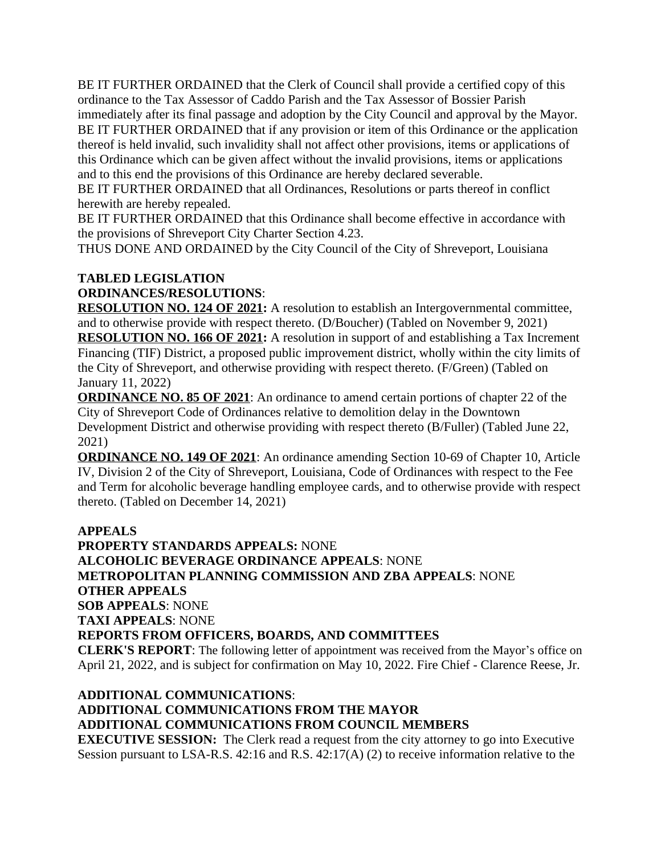BE IT FURTHER ORDAINED that the Clerk of Council shall provide a certified copy of this ordinance to the Tax Assessor of Caddo Parish and the Tax Assessor of Bossier Parish immediately after its final passage and adoption by the City Council and approval by the Mayor. BE IT FURTHER ORDAINED that if any provision or item of this Ordinance or the application thereof is held invalid, such invalidity shall not affect other provisions, items or applications of this Ordinance which can be given affect without the invalid provisions, items or applications and to this end the provisions of this Ordinance are hereby declared severable.

BE IT FURTHER ORDAINED that all Ordinances, Resolutions or parts thereof in conflict herewith are hereby repealed.

BE IT FURTHER ORDAINED that this Ordinance shall become effective in accordance with the provisions of Shreveport City Charter Section 4.23.

THUS DONE AND ORDAINED by the City Council of the City of Shreveport, Louisiana

### **TABLED LEGISLATION**

**ORDINANCES/RESOLUTIONS**:

**RESOLUTION NO. 124 OF 2021:** A resolution to establish an Intergovernmental committee, and to otherwise provide with respect thereto. (D/Boucher) (Tabled on November 9, 2021) **RESOLUTION NO. 166 OF 2021:** A resolution in support of and establishing a Tax Increment Financing (TIF) District, a proposed public improvement district, wholly within the city limits of the City of Shreveport, and otherwise providing with respect thereto. (F/Green) (Tabled on January 11, 2022)

**ORDINANCE NO. 85 OF 2021**: An ordinance to amend certain portions of chapter 22 of the City of Shreveport Code of Ordinances relative to demolition delay in the Downtown Development District and otherwise providing with respect thereto (B/Fuller) (Tabled June 22, 2021)

**ORDINANCE NO. 149 OF 2021**: An ordinance amending Section 10-69 of Chapter 10, Article IV, Division 2 of the City of Shreveport, Louisiana, Code of Ordinances with respect to the Fee and Term for alcoholic beverage handling employee cards, and to otherwise provide with respect thereto. (Tabled on December 14, 2021)

**APPEALS PROPERTY STANDARDS APPEALS:** NONE **ALCOHOLIC BEVERAGE ORDINANCE APPEALS**: NONE **METROPOLITAN PLANNING COMMISSION AND ZBA APPEALS**: NONE **OTHER APPEALS SOB APPEALS**: NONE **TAXI APPEALS**: NONE **REPORTS FROM OFFICERS, BOARDS, AND COMMITTEES CLERK'S REPORT**: The following letter of appointment was received from the Mayor's office on April 21, 2022, and is subject for confirmation on May 10, 2022. Fire Chief - Clarence Reese, Jr.

# **ADDITIONAL COMMUNICATIONS**: **ADDITIONAL COMMUNICATIONS FROM THE MAYOR ADDITIONAL COMMUNICATIONS FROM COUNCIL MEMBERS**

**EXECUTIVE SESSION:** The Clerk read a request from the city attorney to go into Executive Session pursuant to LSA-R.S. 42:16 and R.S. 42:17(A) (2) to receive information relative to the